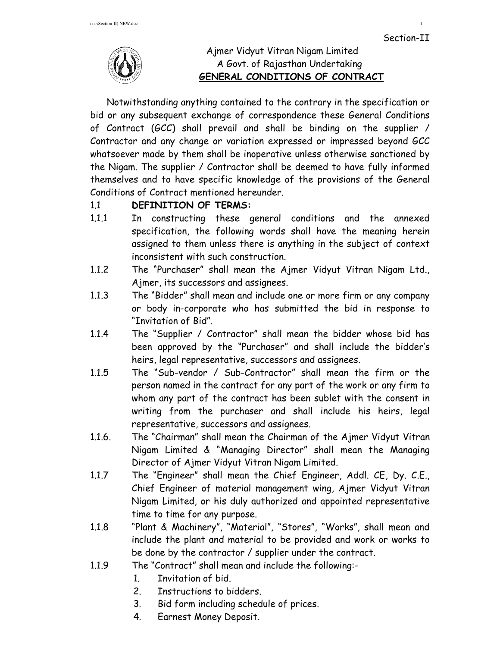

# Ajmer Vidyut Vitran Nigam Limited A Govt. of Rajasthan Undertaking  **GENERAL CONDITIONS OF CONTRACT**

Notwithstanding anything contained to the contrary in the specification or bid or any subsequent exchange of correspondence these General Conditions of Contract (GCC) shall prevail and shall be binding on the supplier / Contractor and any change or variation expressed or impressed beyond GCC whatsoever made by them shall be inoperative unless otherwise sanctioned by the Nigam. The supplier / Contractor shall be deemed to have fully informed themselves and to have specific knowledge of the provisions of the General Conditions of Contract mentioned hereunder.

# 1.1 **DEFINITION OF TERMS:**

- 1.1.1 In constructing these general conditions and the annexed specification, the following words shall have the meaning herein assigned to them unless there is anything in the subject of context inconsistent with such construction.
- 1.1.2 The "Purchaser" shall mean the Ajmer Vidyut Vitran Nigam Ltd., Ajmer, its successors and assignees.
- 1.1.3 The "Bidder" shall mean and include one or more firm or any company or body in-corporate who has submitted the bid in response to "Invitation of Bid".
- 1.1.4 The "Supplier / Contractor" shall mean the bidder whose bid has been approved by the "Purchaser" and shall include the bidder's heirs, legal representative, successors and assignees.
- 1.1.5 The "Sub-vendor / Sub-Contractor" shall mean the firm or the person named in the contract for any part of the work or any firm to whom any part of the contract has been sublet with the consent in writing from the purchaser and shall include his heirs, legal representative, successors and assignees.
- 1.1.6. The "Chairman" shall mean the Chairman of the Ajmer Vidyut Vitran Nigam Limited & "Managing Director" shall mean the Managing Director of Ajmer Vidyut Vitran Nigam Limited.
- 1.1.7 The "Engineer" shall mean the Chief Engineer, Addl. CE, Dy. C.E., Chief Engineer of material management wing, Ajmer Vidyut Vitran Nigam Limited, or his duly authorized and appointed representative time to time for any purpose.
- 1.1.8 "Plant & Machinery", "Material", "Stores", "Works", shall mean and include the plant and material to be provided and work or works to be done by the contractor / supplier under the contract.
- 1.1.9 The "Contract" shall mean and include the following:-
	- 1. Invitation of bid.
	- 2. Instructions to bidders.
	- 3. Bid form including schedule of prices.
	- 4. Earnest Money Deposit.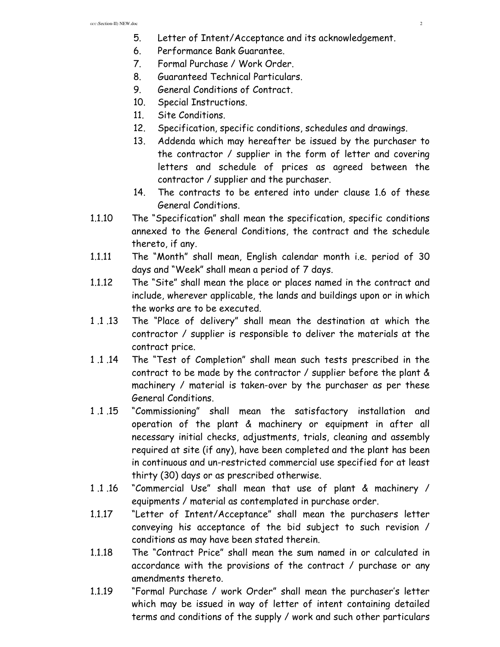- 5. Letter of Intent/Acceptance and its acknowledgement.
- 6. Performance Bank Guarantee.
- 7. Formal Purchase / Work Order.
- 8. Guaranteed Technical Particulars.
- 9. General Conditions of Contract.
- 10. Special Instructions.
- 11. Site Conditions.
- 12. Specification, specific conditions, schedules and drawings.
- 13. Addenda which may hereafter be issued by the purchaser to the contractor / supplier in the form of letter and covering letters and schedule of prices as agreed between the contractor / supplier and the purchaser.
- 14. The contracts to be entered into under clause 1.6 of these General Conditions.
- 1.1.10 The "Specification" shall mean the specification, specific conditions annexed to the General Conditions, the contract and the schedule thereto, if any.
- 1.1.11 The "Month" shall mean, English calendar month i.e. period of 30 days and "Week" shall mean a period of 7 days.
- 1.1.12 The "Site" shall mean the place or places named in the contract and include, wherever applicable, the lands and buildings upon or in which the works are to be executed.
- 1 .1 .13 The "Place of delivery" shall mean the destination at which the contractor / supplier is responsible to deliver the materials at the contract price.
- 1 .1 .14 The "Test of Completion" shall mean such tests prescribed in the contract to be made by the contractor / supplier before the plant & machinery / material is taken-over by the purchaser as per these General Conditions.
- 1 .1 .15 "Commissioning" shall mean the satisfactory installation and operation of the plant & machinery or equipment in after all necessary initial checks, adjustments, trials, cleaning and assembly required at site (if any), have been completed and the plant has been in continuous and un-restricted commercial use specified for at least thirty (30) days or as prescribed otherwise.
- 1 .1 .16 "Commercial Use" shall mean that use of plant & machinery / equipments / material as contemplated in purchase order.
- 1.1.17 "Letter of Intent/Acceptance" shall mean the purchasers letter conveying his acceptance of the bid subject to such revision / conditions as may have been stated therein.
- 1.1.18 The "Contract Price" shall mean the sum named in or calculated in accordance with the provisions of the contract / purchase or any amendments thereto.
- 1.1.19 "Formal Purchase / work Order" shall mean the purchaser's letter which may be issued in way of letter of intent containing detailed terms and conditions of the supply / work and such other particulars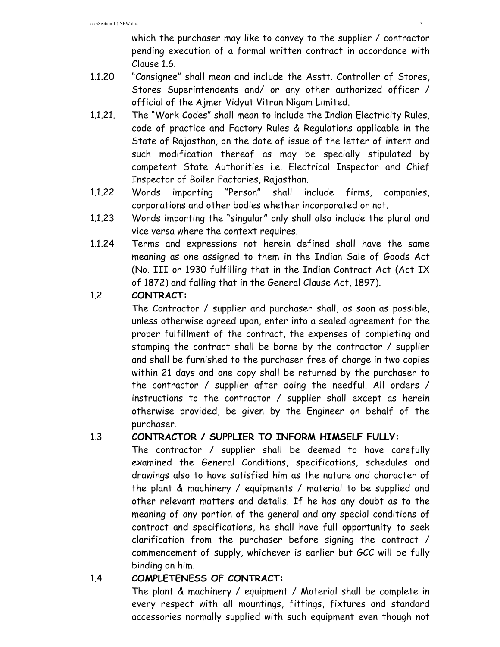which the purchaser may like to convey to the supplier / contractor pending execution of a formal written contract in accordance with Clause 1.6.

- 1.1.20 "Consignee" shall mean and include the Asstt. Controller of Stores, Stores Superintendents and/ or any other authorized officer / official of the Ajmer Vidyut Vitran Nigam Limited.
- 1.1.21. The "Work Codes" shall mean to include the Indian Electricity Rules, code of practice and Factory Rules & Regulations applicable in the State of Rajasthan, on the date of issue of the letter of intent and such modification thereof as may be specially stipulated by competent State Authorities i.e. Electrical Inspector and Chief Inspector of Boiler Factories, Rajasthan.
- 1.1.22 Words importing "Person" shall include firms, companies, corporations and other bodies whether incorporated or not.
- 1.1.23 Words importing the "singular" only shall also include the plural and vice versa where the context requires.
- 1.1.24 Terms and expressions not herein defined shall have the same meaning as one assigned to them in the Indian Sale of Goods Act (No. III or 1930 fulfilling that in the Indian Contract Act (Act IX of 1872) and falling that in the General Clause Act, 1897).

# 1.2 **CONTRACT:**

The Contractor / supplier and purchaser shall, as soon as possible, unless otherwise agreed upon, enter into a sealed agreement for the proper fulfillment of the contract, the expenses of completing and stamping the contract shall be borne by the contractor / supplier and shall be furnished to the purchaser free of charge in two copies within 21 days and one copy shall be returned by the purchaser to the contractor / supplier after doing the needful. All orders / instructions to the contractor / supplier shall except as herein otherwise provided, be given by the Engineer on behalf of the purchaser.

# 1.3 **CONTRACTOR / SUPPLIER TO INFORM HIMSELF FULLY:**

The contractor / supplier shall be deemed to have carefully examined the General Conditions, specifications, schedules and drawings also to have satisfied him as the nature and character of the plant & machinery / equipments / material to be supplied and other relevant matters and details. If he has any doubt as to the meaning of any portion of the general and any special conditions of contract and specifications, he shall have full opportunity to seek clarification from the purchaser before signing the contract / commencement of supply, whichever is earlier but GCC will be fully binding on him.

# 1.4 **COMPLETENESS OF CONTRACT:**

The plant & machinery / equipment / Material shall be complete in every respect with all mountings, fittings, fixtures and standard accessories normally supplied with such equipment even though not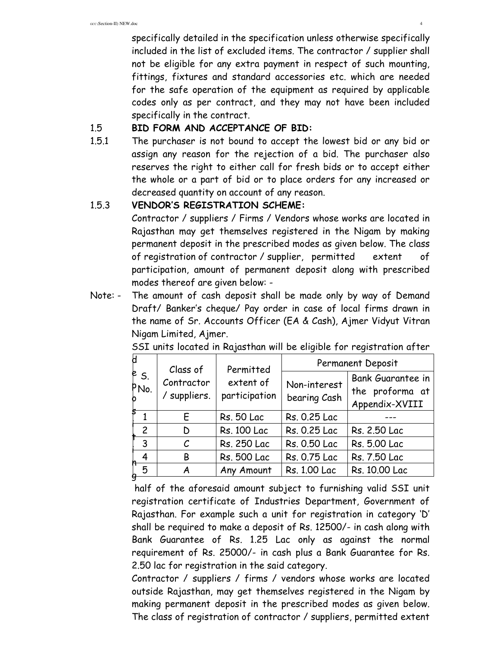specifically detailed in the specification unless otherwise specifically included in the list of excluded items. The contractor / supplier shall not be eligible for any extra payment in respect of such mounting, fittings, fixtures and standard accessories etc. which are needed for the safe operation of the equipment as required by applicable codes only as per contract, and they may not have been included specifically in the contract.

#### 1.5 **BID FORM AND ACCEPTANCE OF BID:**

1.5.1 The purchaser is not bound to accept the lowest bid or any bid or assign any reason for the rejection of a bid. The purchaser also reserves the right to either call for fresh bids or to accept either the whole or a part of bid or to place orders for any increased or decreased quantity on account of any reason.

# 1.5.3 **VENDOR'S REGISTRATION SCHEME:**

Contractor / suppliers / Firms / Vendors whose works are located in Rajasthan may get themselves registered in the Nigam by making permanent deposit in the prescribed modes as given below. The class of registration of contractor / supplier, permitted extent of participation, amount of permanent deposit along with prescribed modes thereof are given below: -

Note: - The amount of cash deposit shall be made only by way of Demand Draft/ Banker's cheque/ Pay order in case of local firms drawn in the name of Sr. Accounts Officer (EA & Cash), Ajmer Vidyut Vitran Nigam Limited, Ajmer.

| e s.<br>PNo.  | Class of<br>Contractor<br>/ suppliers. | Permitted<br>extent of<br>participation | Permanent Deposit            |                                                        |  |
|---------------|----------------------------------------|-----------------------------------------|------------------------------|--------------------------------------------------------|--|
|               |                                        |                                         | Non-interest<br>bearing Cash | Bank Guarantee in<br>the proforma at<br>Appendix-XVIII |  |
|               | F                                      | <b>Rs. 50 Lac</b>                       | Rs. 0.25 Lac                 |                                                        |  |
| $\mathcal{P}$ | D                                      | Rs. 100 Lac                             | Rs. 0.25 Lac                 | Rs. 2.50 Lac                                           |  |
| 3             | $\mathcal{C}$                          | Rs. 250 Lac                             | Rs. 0.50 Lac                 | Rs. 5.00 Lac                                           |  |
| 4             | В                                      | <b>Rs. 500 Lac</b>                      | Rs. 0.75 Lac                 | Rs. 7.50 Lac                                           |  |
| 5             | Any Amount<br>Α                        |                                         | Rs. 1.00 Lac                 | Rs. 10.00 Lac                                          |  |

SSI units located in Rajasthan will be eligible for registration after

 half of the aforesaid amount subject to furnishing valid SSI unit registration certificate of Industries Department, Government of Rajasthan. For example such a unit for registration in category 'D' shall be required to make a deposit of Rs. 12500/- in cash along with Bank Guarantee of Rs. 1.25 Lac only as against the normal requirement of Rs. 25000/- in cash plus a Bank Guarantee for Rs. 2.50 lac for registration in the said category.

 Contractor / suppliers / firms / vendors whose works are located outside Rajasthan, may get themselves registered in the Nigam by making permanent deposit in the prescribed modes as given below. The class of registration of contractor / suppliers, permitted extent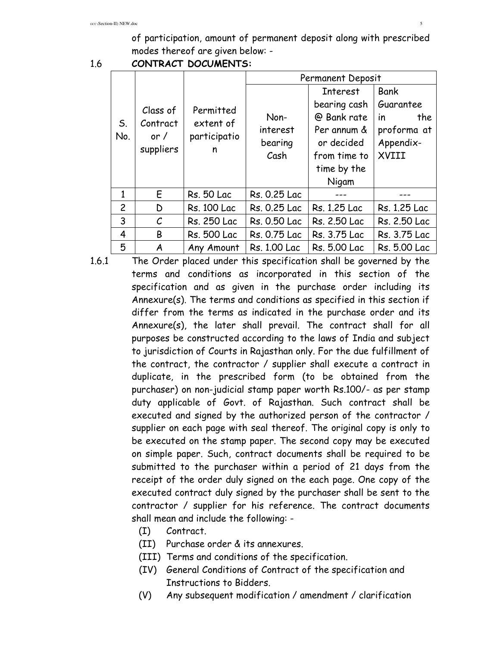of participation, amount of permanent deposit along with prescribed modes thereof are given below: -

1.6 **CONTRACT DOCUMENTS:** 

|                | Class of<br>Contract<br>or $/$<br>suppliers | Permitted<br>extent of<br>participatio<br>n | Permanent Deposit |                 |                  |  |
|----------------|---------------------------------------------|---------------------------------------------|-------------------|-----------------|------------------|--|
| S.<br>No.      |                                             |                                             |                   | <b>Interest</b> | <b>Bank</b>      |  |
|                |                                             |                                             |                   | bearing cash    | Guarantee        |  |
|                |                                             |                                             | Non-              | @ Bank rate     | the<br><i>in</i> |  |
|                |                                             |                                             | interest          | Per annum &     | proforma at      |  |
|                |                                             |                                             | bearing           | or decided      | Appendix-        |  |
|                |                                             |                                             | Cash              | from time to    | XVIII            |  |
|                |                                             |                                             |                   | time by the     |                  |  |
|                |                                             |                                             |                   | Nigam           |                  |  |
| 1              | E                                           | <b>Rs. 50 Lac</b>                           | Rs. 0.25 Lac      |                 |                  |  |
| $\overline{c}$ | D                                           | <b>Rs. 100 Lac</b>                          | Rs. 0.25 Lac      | Rs. 1.25 Lac    | Rs. 1.25 Lac     |  |
| 3              | $\mathcal{C}_{0}$                           | Rs. 250 Lac                                 | Rs. 0.50 Lac      | Rs. 2.50 Lac    | Rs. 2.50 Lac     |  |
| 4              | B                                           | <b>Rs. 500 Lac</b>                          | Rs. 0.75 Lac      | Rs. 3.75 Lac    | Rs. 3.75 Lac     |  |
| 5              | A                                           | Any Amount                                  | Rs. 1.00 Lac      | Rs. 5.00 Lac    | Rs. 5.00 Lac     |  |

- 1.6.1 The Order placed under this specification shall be governed by the terms and conditions as incorporated in this section of the specification and as given in the purchase order including its Annexure(s). The terms and conditions as specified in this section if differ from the terms as indicated in the purchase order and its Annexure(s), the later shall prevail. The contract shall for all purposes be constructed according to the laws of India and subject to jurisdiction of Courts in Rajasthan only. For the due fulfillment of the contract, the contractor / supplier shall execute a contract in duplicate, in the prescribed form (to be obtained from the purchaser) on non-judicial stamp paper worth Rs.100/- as per stamp duty applicable of Govt. of Rajasthan. Such contract shall be executed and signed by the authorized person of the contractor / supplier on each page with seal thereof. The original copy is only to be executed on the stamp paper. The second copy may be executed on simple paper. Such, contract documents shall be required to be submitted to the purchaser within a period of 21 days from the receipt of the order duly signed on the each page. One copy of the executed contract duly signed by the purchaser shall be sent to the contractor / supplier for his reference. The contract documents shall mean and include the following: -
	- (I) Contract.
	- (II) Purchase order & its annexures.
	- (III) Terms and conditions of the specification.
	- (IV) General Conditions of Contract of the specification and Instructions to Bidders.
	- (V) Any subsequent modification / amendment / clarification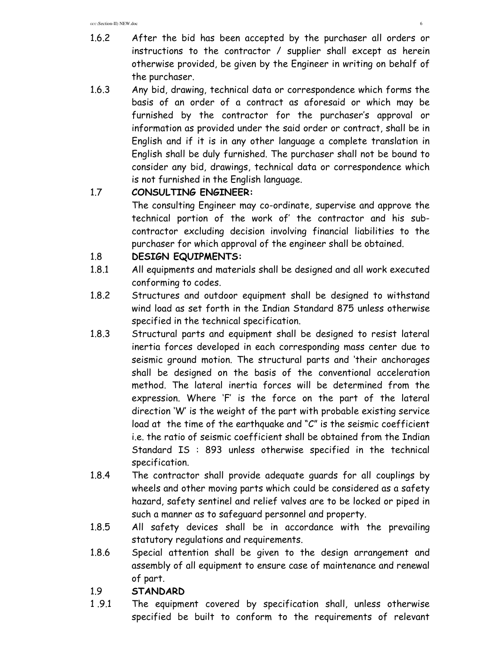- 1.6.2 After the bid has been accepted by the purchaser all orders or instructions to the contractor / supplier shall except as herein otherwise provided, be given by the Engineer in writing on behalf of the purchaser.
- 1.6.3 Any bid, drawing, technical data or correspondence which forms the basis of an order of a contract as aforesaid or which may be furnished by the contractor for the purchaser's approval or information as provided under the said order or contract, shall be in English and if it is in any other language a complete translation in English shall be duly furnished. The purchaser shall not be bound to consider any bid, drawings, technical data or correspondence which is not furnished in the English language.

# 1.7 **CONSULTING ENGINEER:**

The consulting Engineer may co-ordinate, supervise and approve the technical portion of the work of' the contractor and his subcontractor excluding decision involving financial liabilities to the purchaser for which approval of the engineer shall be obtained.

# 1.8 **DESIGN EQUIPMENTS:**

- 1.8.1 All equipments and materials shall be designed and all work executed conforming to codes.
- 1.8.2 Structures and outdoor equipment shall be designed to withstand wind load as set forth in the Indian Standard 875 unless otherwise specified in the technical specification.
- 1.8.3 Structural parts and equipment shall be designed to resist lateral inertia forces developed in each corresponding mass center due to seismic ground motion. The structural parts and 'their anchorages shall be designed on the basis of the conventional acceleration method. The lateral inertia forces will be determined from the expression. Where 'F' is the force on the part of the lateral direction 'W' is the weight of the part with probable existing service load at the time of the earthquake and "C" is the seismic coefficient i.e. the ratio of seismic coefficient shall be obtained from the Indian Standard IS : 893 unless otherwise specified in the technical specification.
- 1.8.4 The contractor shall provide adequate guards for all couplings by wheels and other moving parts which could be considered as a safety hazard, safety sentinel and relief valves are to be locked or piped in such a manner as to safeguard personnel and property.
- 1.8.5 All safety devices shall be in accordance with the prevailing statutory regulations and requirements.
- 1.8.6 Special attention shall be given to the design arrangement and assembly of all equipment to ensure case of maintenance and renewal of part.

# 1.9 **STANDARD**

1 .9.1 The equipment covered by specification shall, unless otherwise specified be built to conform to the requirements of relevant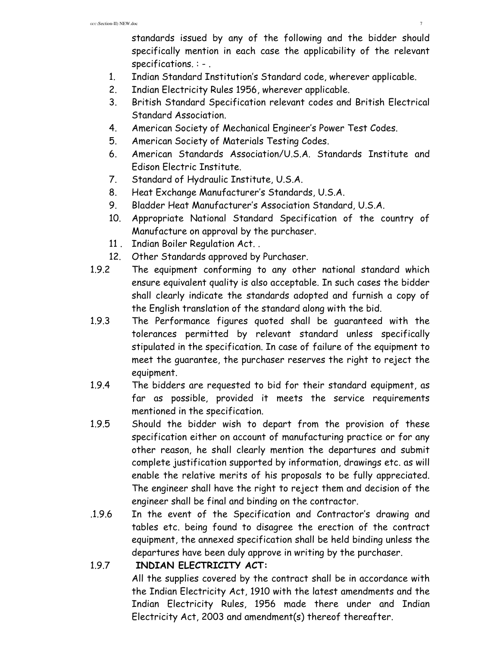standards issued by any of the following and the bidder should specifically mention in each case the applicability of the relevant specifications. : - .

- 1. Indian Standard Institution's Standard code, wherever applicable.
- 2. Indian Electricity Rules 1956, wherever applicable.
- 3. British Standard Specification relevant codes and British Electrical Standard Association.
- 4. American Society of Mechanical Engineer's Power Test Codes.
- 5. American Society of Materials Testing Codes.
- 6. American Standards Association/U.S.A. Standards Institute and Edison Electric Institute.
- 7. Standard of Hydraulic Institute, U.S.A.
- 8. Heat Exchange Manufacturer's Standards, U.S.A.
- 9. Bladder Heat Manufacturer's Association Standard, U.S.A.
- 10. Appropriate National Standard Specification of the country of Manufacture on approval by the purchaser.
- 11 . Indian Boiler Regulation Act. .
- 12. Other Standards approved by Purchaser.
- 1.9.2 The equipment conforming to any other national standard which ensure equivalent quality is also acceptable. In such cases the bidder shall clearly indicate the standards adopted and furnish a copy of the English translation of the standard along with the bid.
- 1.9.3 The Performance figures quoted shall be guaranteed with the tolerances permitted by relevant standard unless specifically stipulated in the specification. In case of failure of the equipment to meet the guarantee, the purchaser reserves the right to reject the equipment.
- 1.9.4 The bidders are requested to bid for their standard equipment, as far as possible, provided it meets the service requirements mentioned in the specification.
- 1.9.5 Should the bidder wish to depart from the provision of these specification either on account of manufacturing practice or for any other reason, he shall clearly mention the departures and submit complete justification supported by information, drawings etc. as will enable the relative merits of his proposals to be fully appreciated. The engineer shall have the right to reject them and decision of the engineer shall be final and binding on the contractor.
- .1.9.6 In the event of the Specification and Contractor's drawing and tables etc. being found to disagree the erection of the contract equipment, the annexed specification shall be held binding unless the departures have been duly approve in writing by the purchaser.
- 1.9.7 **INDIAN ELECTRICITY ACT:**

All the supplies covered by the contract shall be in accordance with the Indian Electricity Act, 1910 with the latest amendments and the Indian Electricity Rules, 1956 made there under and Indian Electricity Act, 2003 and amendment(s) thereof thereafter.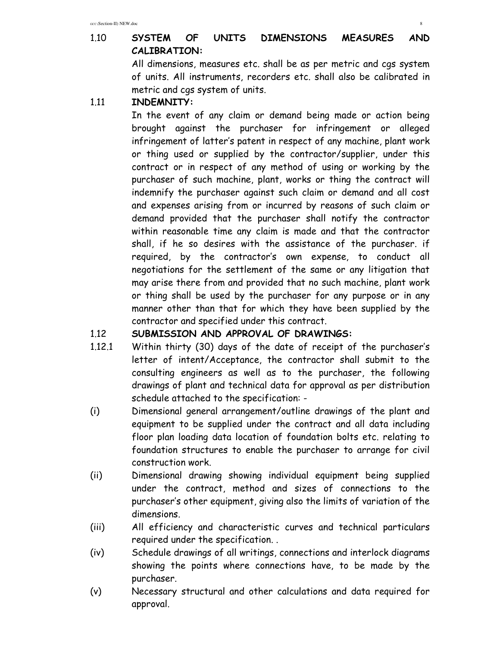# 1.10 **SYSTEM OF UNITS DIMENSIONS MEASURES AND CALIBRATION:**

All dimensions, measures etc. shall be as per metric and cgs system of units. All instruments, recorders etc. shall also be calibrated in metric and cgs system of units.

1.11 **INDEMNITY:** 

 In the event of any claim or demand being made or action being brought against the purchaser for infringement or alleged infringement of latter's patent in respect of any machine, plant work or thing used or supplied by the contractor/supplier, under this contract or in respect of any method of using or working by the purchaser of such machine, plant, works or thing the contract will indemnify the purchaser against such claim or demand and all cost and expenses arising from or incurred by reasons of such claim or demand provided that the purchaser shall notify the contractor within reasonable time any claim is made and that the contractor shall, if he so desires with the assistance of the purchaser. if required, by the contractor's own expense, to conduct all negotiations for the settlement of the same or any litigation that may arise there from and provided that no such machine, plant work or thing shall be used by the purchaser for any purpose or in any manner other than that for which they have been supplied by the contractor and specified under this contract.

#### 1.12 **SUBMISSION AND APPROVAL OF DRAWINGS:**

- 1.12.1 Within thirty (30) days of the date of receipt of the purchaser's letter of intent/Acceptance, the contractor shall submit to the consulting engineers as well as to the purchaser, the following drawings of plant and technical data for approval as per distribution schedule attached to the specification: -
- (i) Dimensional general arrangement/outline drawings of the plant and equipment to be supplied under the contract and all data including floor plan loading data location of foundation bolts etc. relating to foundation structures to enable the purchaser to arrange for civil construction work.
- (ii) Dimensional drawing showing individual equipment being supplied under the contract, method and sizes of connections to the purchaser's other equipment, giving also the limits of variation of the dimensions.
- (iii) All efficiency and characteristic curves and technical particulars required under the specification. .
- (iv) Schedule drawings of all writings, connections and interlock diagrams showing the points where connections have, to be made by the purchaser.
- (v) Necessary structural and other calculations and data required for approval.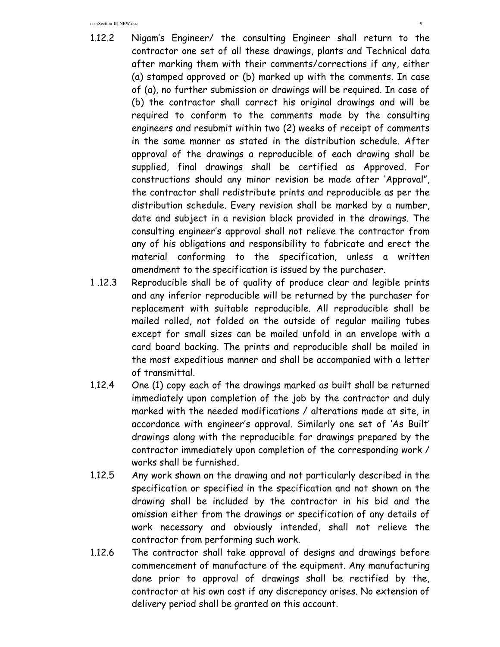- 1.12.2 Nigam's Engineer/ the consulting Engineer shall return to the contractor one set of all these drawings, plants and Technical data after marking them with their comments/corrections if any, either (a) stamped approved or (b) marked up with the comments. In case of (a), no further submission or drawings will be required. In case of (b) the contractor shall correct his original drawings and will be required to conform to the comments made by the consulting engineers and resubmit within two (2) weeks of receipt of comments in the same manner as stated in the distribution schedule. After approval of the drawings a reproducible of each drawing shall be supplied, final drawings shall be certified as Approved. For constructions should any minor revision be made after 'Approval", the contractor shall redistribute prints and reproducible as per the distribution schedule. Every revision shall be marked by a number, date and subject in a revision block provided in the drawings. The consulting engineer's approval shall not relieve the contractor from any of his obligations and responsibility to fabricate and erect the material conforming to the specification, unless a written amendment to the specification is issued by the purchaser.
- 1 .12.3 Reproducible shall be of quality of produce clear and legible prints and any inferior reproducible will be returned by the purchaser for replacement with suitable reproducible. All reproducible shall be mailed rolled, not folded on the outside of regular mailing tubes except for small sizes can be mailed unfold in an envelope with a card board backing. The prints and reproducible shall be mailed in the most expeditious manner and shall be accompanied with a letter of transmittal.
- 1.12.4 One (1) copy each of the drawings marked as built shall be returned immediately upon completion of the job by the contractor and duly marked with the needed modifications / alterations made at site, in accordance with engineer's approval. Similarly one set of 'As Built' drawings along with the reproducible for drawings prepared by the contractor immediately upon completion of the corresponding work / works shall be furnished.
- 1.12.5 Any work shown on the drawing and not particularly described in the specification or specified in the specification and not shown on the drawing shall be included by the contractor in his bid and the omission either from the drawings or specification of any details of work necessary and obviously intended, shall not relieve the contractor from performing such work.
- 1.12.6 The contractor shall take approval of designs and drawings before commencement of manufacture of the equipment. Any manufacturing done prior to approval of drawings shall be rectified by the, contractor at his own cost if any discrepancy arises. No extension of delivery period shall be granted on this account.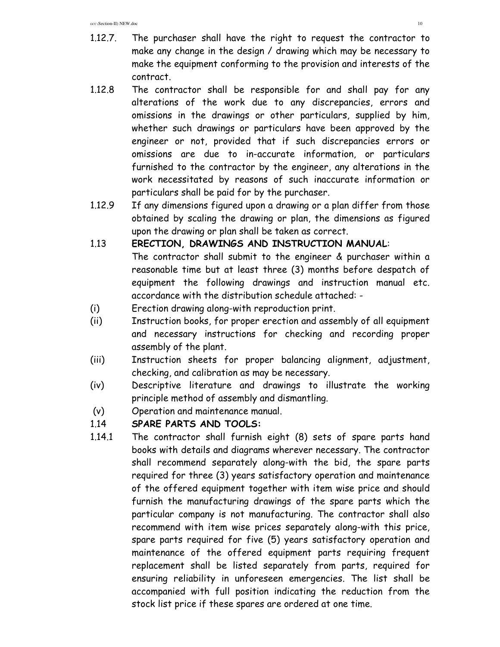- 1.12.7. The purchaser shall have the right to request the contractor to make any change in the design / drawing which may be necessary to make the equipment conforming to the provision and interests of the contract.
- 1.12.8 The contractor shall be responsible for and shall pay for any alterations of the work due to any discrepancies, errors and omissions in the drawings or other particulars, supplied by him, whether such drawings or particulars have been approved by the engineer or not, provided that if such discrepancies errors or omissions are due to in-accurate information, or particulars furnished to the contractor by the engineer, any alterations in the work necessitated by reasons of such inaccurate information or particulars shall be paid for by the purchaser.
- 1.12.9 If any dimensions figured upon a drawing or a plan differ from those obtained by scaling the drawing or plan, the dimensions as figured upon the drawing or plan shall be taken as correct.

#### 1.13 **ERECTION, DRAWINGS AND INSTRUCTION MANUAL**:

 The contractor shall submit to the engineer & purchaser within a reasonable time but at least three (3) months before despatch of equipment the following drawings and instruction manual etc. accordance with the distribution schedule attached: -

- (i) Erection drawing along-with reproduction print.
- (ii) Instruction books, for proper erection and assembly of all equipment and necessary instructions for checking and recording proper assembly of the plant.
- (iii) Instruction sheets for proper balancing alignment, adjustment, checking, and calibration as may be necessary.
- (iv) Descriptive literature and drawings to illustrate the working principle method of assembly and dismantling.
- (v) Operation and maintenance manual.

#### 1.14 **SPARE PARTS AND TOOLS:**

1.14.1 The contractor shall furnish eight (8) sets of spare parts hand books with details and diagrams wherever necessary. The contractor shall recommend separately along-with the bid, the spare parts required for three (3) years satisfactory operation and maintenance of the offered equipment together with item wise price and should furnish the manufacturing drawings of the spare parts which the particular company is not manufacturing. The contractor shall also recommend with item wise prices separately along-with this price, spare parts required for five (5) years satisfactory operation and maintenance of the offered equipment parts requiring frequent replacement shall be listed separately from parts, required for ensuring reliability in unforeseen emergencies. The list shall be accompanied with full position indicating the reduction from the stock list price if these spares are ordered at one time.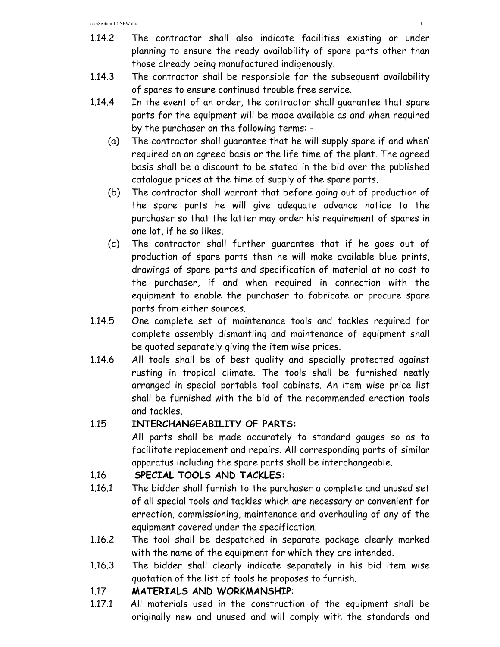- 1.14.2 The contractor shall also indicate facilities existing or under planning to ensure the ready availability of spare parts other than those already being manufactured indigenously.
- 1.14.3 The contractor shall be responsible for the subsequent availability of spares to ensure continued trouble free service.
- 1.14.4 In the event of an order, the contractor shall guarantee that spare parts for the equipment will be made available as and when required by the purchaser on the following terms: -
	- (a) The contractor shall guarantee that he will supply spare if and when' required on an agreed basis or the life time of the plant. The agreed basis shall be a discount to be stated in the bid over the published catalogue prices at the time of supply of the spare parts.
	- (b) The contractor shall warrant that before going out of production of the spare parts he will give adequate advance notice to the purchaser so that the latter may order his requirement of spares in one lot, if he so likes.
	- (c) The contractor shall further guarantee that if he goes out of production of spare parts then he will make available blue prints, drawings of spare parts and specification of material at no cost to the purchaser, if and when required in connection with the equipment to enable the purchaser to fabricate or procure spare parts from either sources.
- 1.14.5 One complete set of maintenance tools and tackles required for complete assembly dismantling and maintenance of equipment shall be quoted separately giving the item wise prices.
- 1.14.6 All tools shall be of best quality and specially protected against rusting in tropical climate. The tools shall be furnished neatly arranged in special portable tool cabinets. An item wise price list shall be furnished with the bid of the recommended erection tools and tackles.

# 1.15 **INTERCHANGEABILITY OF PARTS:**

All parts shall be made accurately to standard gauges so as to facilitate replacement and repairs. All corresponding parts of similar apparatus including the spare parts shall be interchangeable.

# 1.16 **SPECIAL TOOLS AND TACKLES:**

- 1.16.1 The bidder shall furnish to the purchaser a complete and unused set of all special tools and tackles which are necessary or convenient for errection, commissioning, maintenance and overhauling of any of the equipment covered under the specification.
- 1.16.2 The tool shall be despatched in separate package clearly marked with the name of the equipment for which they are intended.
- 1.16.3 The bidder shall clearly indicate separately in his bid item wise quotation of the list of tools he proposes to furnish.

# 1.17 **MATERIALS AND WORKMANSHIP**:

1.17.1 All materials used in the construction of the equipment shall be originally new and unused and will comply with the standards and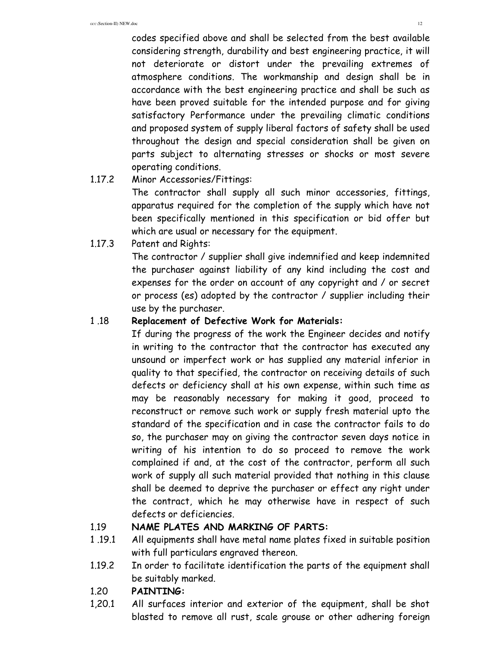codes specified above and shall be selected from the best available considering strength, durability and best engineering practice, it will not deteriorate or distort under the prevailing extremes of atmosphere conditions. The workmanship and design shall be in accordance with the best engineering practice and shall be such as have been proved suitable for the intended purpose and for giving satisfactory Performance under the prevailing climatic conditions and proposed system of supply liberal factors of safety shall be used throughout the design and special consideration shall be given on parts subject to alternating stresses or shocks or most severe operating conditions.

# 1.17.2 Minor Accessories/Fittings:

 The contractor shall supply all such minor accessories, fittings, apparatus required for the completion of the supply which have not been specifically mentioned in this specification or bid offer but which are usual or necessary for the equipment.

1.17.3 Patent and Rights:

 The contractor / supplier shall give indemnified and keep indemnited the purchaser against liability of any kind including the cost and expenses for the order on account of any copyright and / or secret or process (es) adopted by the contractor / supplier including their use by the purchaser.

# 1 .18 **Replacement of Defective Work for Materials:**

 If during the progress of the work the Engineer decides and notify in writing to the contractor that the contractor has executed any unsound or imperfect work or has supplied any material inferior in quality to that specified, the contractor on receiving details of such defects or deficiency shall at his own expense, within such time as may be reasonably necessary for making it good, proceed to reconstruct or remove such work or supply fresh material upto the standard of the specification and in case the contractor fails to do so, the purchaser may on giving the contractor seven days notice in writing of his intention to do so proceed to remove the work complained if and, at the cost of the contractor, perform all such work of supply all such material provided that nothing in this clause shall be deemed to deprive the purchaser or effect any right under the contract, which he may otherwise have in respect of such defects or deficiencies.

# 1.19 **NAME PLATES AND MARKING OF PARTS:**

- 1 .19.1 All equipments shall have metal name plates fixed in suitable position with full particulars engraved thereon.
- 1.19.2 In order to facilitate identification the parts of the equipment shall be suitably marked.

# 1.20 **PAINTING:**

1,20.1 All surfaces interior and exterior of the equipment, shall be shot blasted to remove all rust, scale grouse or other adhering foreign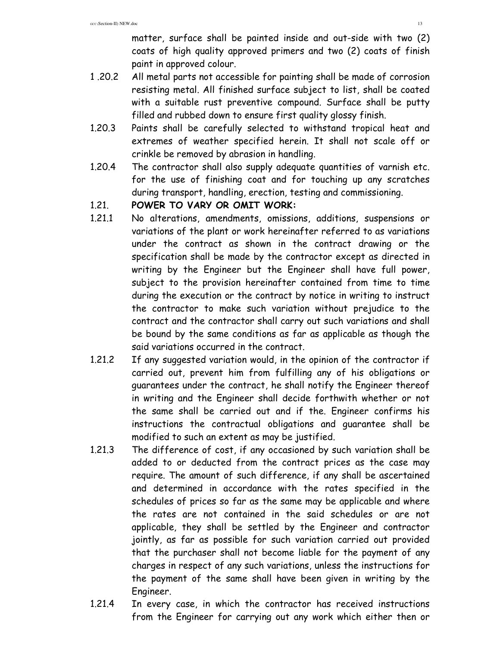matter, surface shall be painted inside and out-side with two (2) coats of high quality approved primers and two (2) coats of finish paint in approved colour.

- 1 .20.2 All metal parts not accessible for painting shall be made of corrosion resisting metal. All finished surface subject to list, shall be coated with a suitable rust preventive compound. Surface shall be putty filled and rubbed down to ensure first quality glossy finish.
- 1.20.3 Paints shall be carefully selected to withstand tropical heat and extremes of weather specified herein. It shall not scale off or crinkle be removed by abrasion in handling.
- 1.20.4 The contractor shall also supply adequate quantities of varnish etc. for the use of finishing coat and for touching up any scratches during transport, handling, erection, testing and commissioning.

#### 1.21. **POWER TO VARY OR OMIT WORK:**

- 1.21.1 No alterations, amendments, omissions, additions, suspensions or variations of the plant or work hereinafter referred to as variations under the contract as shown in the contract drawing or the specification shall be made by the contractor except as directed in writing by the Engineer but the Engineer shall have full power, subject to the provision hereinafter contained from time to time during the execution or the contract by notice in writing to instruct the contractor to make such variation without prejudice to the contract and the contractor shall carry out such variations and shall be bound by the same conditions as far as applicable as though the said variations occurred in the contract.
- 1.21.2 If any suggested variation would, in the opinion of the contractor if carried out, prevent him from fulfilling any of his obligations or guarantees under the contract, he shall notify the Engineer thereof in writing and the Engineer shall decide forthwith whether or not the same shall be carried out and if the. Engineer confirms his instructions the contractual obligations and guarantee shall be modified to such an extent as may be justified.
- 1.21.3 The difference of cost, if any occasioned by such variation shall be added to or deducted from the contract prices as the case may require. The amount of such difference, if any shall be ascertained and determined in accordance with the rates specified in the schedules of prices so far as the same may be applicable and where the rates are not contained in the said schedules or are not applicable, they shall be settled by the Engineer and contractor jointly, as far as possible for such variation carried out provided that the purchaser shall not become liable for the payment of any charges in respect of any such variations, unless the instructions for the payment of the same shall have been given in writing by the Engineer.
- 1.21.4 In every case, in which the contractor has received instructions from the Engineer for carrying out any work which either then or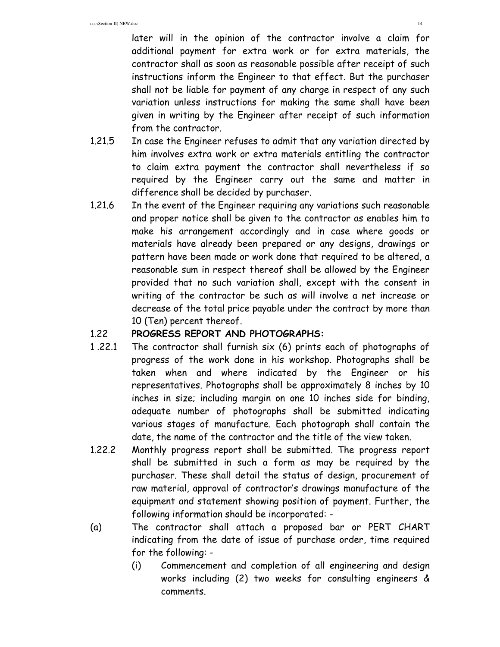later will in the opinion of the contractor involve a claim for additional payment for extra work or for extra materials, the contractor shall as soon as reasonable possible after receipt of such instructions inform the Engineer to that effect. But the purchaser shall not be liable for payment of any charge in respect of any such variation unless instructions for making the same shall have been given in writing by the Engineer after receipt of such information from the contractor.

- 1.21.5 In case the Engineer refuses to admit that any variation directed by him involves extra work or extra materials entitling the contractor to claim extra payment the contractor shall nevertheless if so required by the Engineer carry out the same and matter in difference shall be decided by purchaser.
- 1.21.6 In the event of the Engineer requiring any variations such reasonable and proper notice shall be given to the contractor as enables him to make his arrangement accordingly and in case where goods or materials have already been prepared or any designs, drawings or pattern have been made or work done that required to be altered, a reasonable sum in respect thereof shall be allowed by the Engineer provided that no such variation shall, except with the consent in writing of the contractor be such as will involve a net increase or decrease of the total price payable under the contract by more than 10 (Ten) percent thereof.

#### 1.22 **PROGRESS REPORT AND PHOTOGRAPHS:**

- 1 .22.1 The contractor shall furnish six (6) prints each of photographs of progress of the work done in his workshop. Photographs shall be taken when and where indicated by the Engineer or his representatives. Photographs shall be approximately 8 inches by 10 inches in size; including margin on one 10 inches side for binding, adequate number of photographs shall be submitted indicating various stages of manufacture. Each photograph shall contain the date, the name of the contractor and the title of the view taken.
- 1.22.2 Monthly progress report shall be submitted. The progress report shall be submitted in such a form as may be required by the purchaser. These shall detail the status of design, procurement of raw material, approval of contractor's drawings manufacture of the equipment and statement showing position of payment. Further, the following information should be incorporated: -
- (a) The contractor shall attach a proposed bar or PERT CHART indicating from the date of issue of purchase order, time required for the following: -
	- (i) Commencement and completion of all engineering and design works including (2) two weeks for consulting engineers & comments.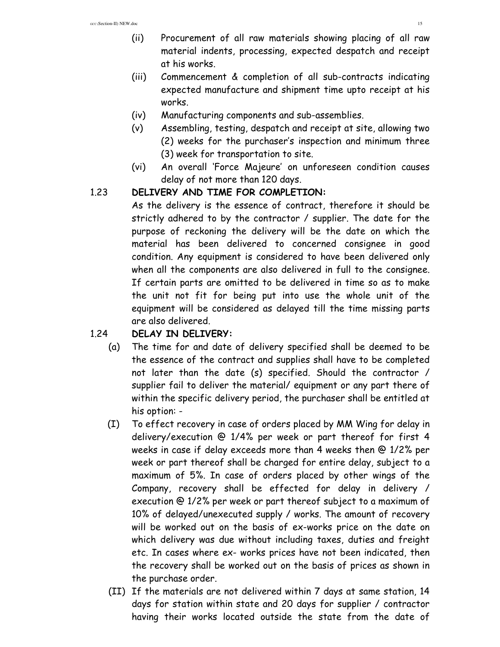- (ii) Procurement of all raw materials showing placing of all raw material indents, processing, expected despatch and receipt at his works.
- (iii) Commencement & completion of all sub-contracts indicating expected manufacture and shipment time upto receipt at his works.
- (iv) Manufacturing components and sub-assemblies.
- (v) Assembling, testing, despatch and receipt at site, allowing two (2) weeks for the purchaser's inspection and minimum three (3) week for transportation to site.
- (vi) An overall 'Force Majeure' on unforeseen condition causes delay of not more than 120 days.

#### 1.23 **DELIVERY AND TIME FOR COMPLETION:**

 As the delivery is the essence of contract, therefore it should be strictly adhered to by the contractor / supplier. The date for the purpose of reckoning the delivery will be the date on which the material has been delivered to concerned consignee in good condition. Any equipment is considered to have been delivered only when all the components are also delivered in full to the consignee. If certain parts are omitted to be delivered in time so as to make the unit not fit for being put into use the whole unit of the equipment will be considered as delayed till the time missing parts are also delivered.

# 1.24 **DELAY IN DELIVERY:**

- (a) The time for and date of delivery specified shall be deemed to be the essence of the contract and supplies shall have to be completed not later than the date (s) specified. Should the contractor / supplier fail to deliver the material/ equipment or any part there of within the specific delivery period, the purchaser shall be entitled at his option: -
- (I) To effect recovery in case of orders placed by MM Wing for delay in delivery/execution @ 1/4% per week or part thereof for first 4 weeks in case if delay exceeds more than 4 weeks then @ 1/2% per week or part thereof shall be charged for entire delay, subject to a maximum of 5%. In case of orders placed by other wings of the Company, recovery shall be effected for delay in delivery / execution @ 1/2% per week or part thereof subject to a maximum of 10% of delayed/unexecuted supply / works. The amount of recovery will be worked out on the basis of ex-works price on the date on which delivery was due without including taxes, duties and freight etc. In cases where ex- works prices have not been indicated, then the recovery shall be worked out on the basis of prices as shown in the purchase order.
- (II) If the materials are not delivered within 7 days at same station, 14 days for station within state and 20 days for supplier / contractor having their works located outside the state from the date of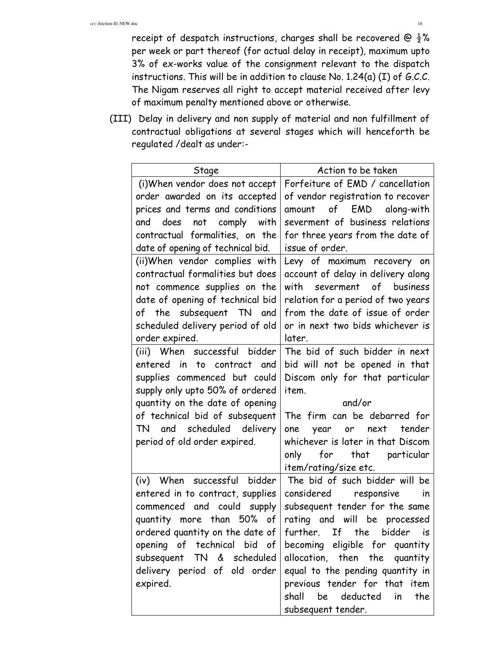receipt of despatch instructions, charges shall be recovered @  $\frac{1}{2}$ % per week or part thereof (for actual delay in receipt), maximum upto 3% of ex-works value of the consignment relevant to the dispatch instructions. This will be in addition to clause No. 1.24(a) (I) of G.C.C. The Nigam reserves all right to accept material received after levy of maximum penalty mentioned above or otherwise.

 (III) Delay in delivery and non supply of material and non fulfillment of contractual obligations at several stages which will henceforth be regulated /dealt as under:-

| Stage                                                                                                                                                                                                                                                                                                                                                                                                                              | Action to be taken                                                                                                                                                                                                                                                                                                                                                                                                    |
|------------------------------------------------------------------------------------------------------------------------------------------------------------------------------------------------------------------------------------------------------------------------------------------------------------------------------------------------------------------------------------------------------------------------------------|-----------------------------------------------------------------------------------------------------------------------------------------------------------------------------------------------------------------------------------------------------------------------------------------------------------------------------------------------------------------------------------------------------------------------|
| (i) When vendor does not accept<br>order awarded on its accepted<br>prices and terms and conditions<br>and does not comply with<br>contractual formalities, on the<br>date of opening of technical bid.<br>(ii)When vendor complies with<br>contractual formalities but does<br>not commence supplies on the<br>date of opening of technical bid<br>of the subsequent TN and<br>scheduled delivery period of old<br>order expired. | Forfeiture of EMD / cancellation<br>of vendor registration to recover<br>amount of EMD along-with<br>severment of business relations<br>for three years from the date of<br>issue of order.<br>Levy of maximum recovery on<br>account of delay in delivery along<br>with severment of business<br>relation for a period of two years<br>from the date of issue of order<br>or in next two bids whichever is<br>later. |
| (iii) When successful bidder<br>entered in to contract and<br>supplies commenced but could<br>supply only upto 50% of ordered<br>quantity on the date of opening<br>of technical bid of subsequent<br>TN and scheduled delivery<br>period of old order expired.                                                                                                                                                                    | The bid of such bidder in next<br>bid will not be opened in that<br>Discom only for that particular<br>item.<br>and/or<br>The firm can be debarred for<br>year or next tender<br>one<br>whichever is later in that Discom<br>that particular<br>only<br>for<br>item/rating/size etc.                                                                                                                                  |
| (iv) When successful bidder<br>entered in to contract, supplies<br>commenced and could supply<br>quantity more than 50% of<br>ordered quantity on the date of $ $<br>opening of technical bid of<br>subsequent TN & scheduled<br>delivery period of old order<br>expired.                                                                                                                                                          | The bid of such bidder will be<br>considered responsive<br>in<br>subsequent tender for the same<br>rating and will be processed<br>If the bidder<br>further.<br>is<br>becoming<br>eligible for quantity<br>allocation, then the<br>quantity<br>equal to the pending quantity in<br>previous tender for that item<br>shall<br>be<br>deducted<br>the<br>in<br>subsequent tender.                                        |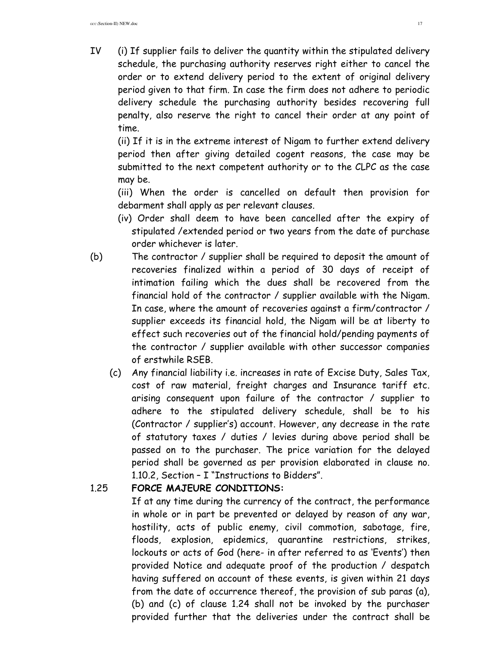IV (i) If supplier fails to deliver the quantity within the stipulated delivery schedule, the purchasing authority reserves right either to cancel the order or to extend delivery period to the extent of original delivery period given to that firm. In case the firm does not adhere to periodic delivery schedule the purchasing authority besides recovering full penalty, also reserve the right to cancel their order at any point of time.

(ii) If it is in the extreme interest of Nigam to further extend delivery period then after giving detailed cogent reasons, the case may be submitted to the next competent authority or to the CLPC as the case may be.

(iii) When the order is cancelled on default then provision for debarment shall apply as per relevant clauses.

- (iv) Order shall deem to have been cancelled after the expiry of stipulated /extended period or two years from the date of purchase order whichever is later.
- (b) The contractor / supplier shall be required to deposit the amount of recoveries finalized within a period of 30 days of receipt of intimation failing which the dues shall be recovered from the financial hold of the contractor / supplier available with the Nigam. In case, where the amount of recoveries against a firm/contractor / supplier exceeds its financial hold, the Nigam will be at liberty to effect such recoveries out of the financial hold/pending payments of the contractor / supplier available with other successor companies of erstwhile RSEB.
	- (c) Any financial liability i.e. increases in rate of Excise Duty, Sales Tax, cost of raw material, freight charges and Insurance tariff etc. arising consequent upon failure of the contractor / supplier to adhere to the stipulated delivery schedule, shall be to his (Contractor / supplier's) account. However, any decrease in the rate of statutory taxes / duties / levies during above period shall be passed on to the purchaser. The price variation for the delayed period shall be governed as per provision elaborated in clause no. 1.10.2, Section – I "Instructions to Bidders".

# 1.25 **FORCE MAJEURE CONDITIONS:**

If at any time during the currency of the contract, the performance in whole or in part be prevented or delayed by reason of any war, hostility, acts of public enemy, civil commotion, sabotage, fire, floods, explosion, epidemics, quarantine restrictions, strikes, lockouts or acts of God (here- in after referred to as 'Events') then provided Notice and adequate proof of the production / despatch having suffered on account of these events, is given within 21 days from the date of occurrence thereof, the provision of sub paras (a), (b) and (c) of clause 1.24 shall not be invoked by the purchaser provided further that the deliveries under the contract shall be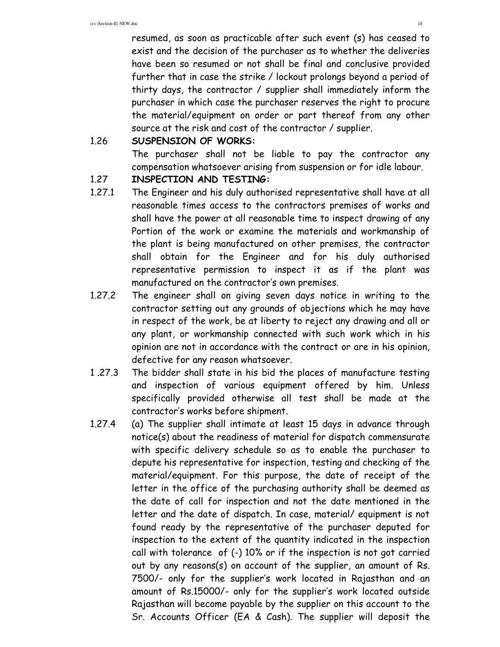resumed, as soon as practicable after such event (s) has ceased to exist and the decision of the purchaser as to whether the deliveries have been so resumed or not shall be final and conclusive provided further that in case the strike / lockout prolongs beyond a period of thirty days, the contractor / supplier shall immediately inform the purchaser in which case the purchaser reserves the right to procure the material/equipment on order or part thereof from any other source at the risk and cost of the contractor / supplier.

# 1.26 **SUSPENSION OF WORKS:**

 The purchaser shall not be liable to pay the contractor any compensation whatsoever arising from suspension or for idle labour.

#### 1.27 **INSPECTION AND TESTING:**

- 1.27.1 The Engineer and his duly authorised representative shall have at all reasonable times access to the contractors premises of works and shall have the power at all reasonable time to inspect drawing of any Portion of the work or examine the materials and workmanship of the plant is being manufactured on other premises, the contractor shall obtain for the Engineer and for his duly authorised representative permission to inspect it as if the plant was manufactured on the contractor's own premises.
- 1.27.2 The engineer shall on giving seven days notice in writing to the contractor setting out any grounds of objections which he may have in respect of the work, be at liberty to reject any drawing and all or any plant, or workmanship connected with such work which in his opinion are not in accordance with the contract or are in his opinion, defective for any reason whatsoever.
- 1 .27.3 The bidder shall state in his bid the places of manufacture testing and inspection of various equipment offered by him. Unless specifically provided otherwise all test shall be made at the contractor's works before shipment.
- 1.27.4 (a) The supplier shall intimate at least 15 days in advance through notice(s) about the readiness of material for dispatch commensurate with specific delivery schedule so as to enable the purchaser to depute his representative for inspection, testing and checking of the material/equipment. For this purpose, the date of receipt of the letter in the office of the purchasing authority shall be deemed as the date of call for inspection and not the date mentioned in the letter and the date of dispatch. In case, material/ equipment is not found ready by the representative of the purchaser deputed for inspection to the extent of the quantity indicated in the inspection call with tolerance of (-) 10% or if the inspection is not got carried out by any reasons(s) on account of the supplier, an amount of Rs. 7500/- only for the supplier's work located in Rajasthan and an amount of Rs.15000/- only for the supplier's work located outside Rajasthan will become payable by the supplier on this account to the Sr. Accounts Officer (EA & Cash). The supplier will deposit the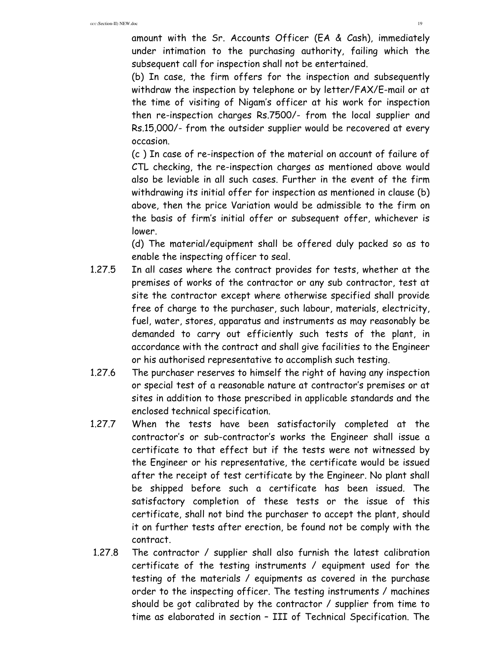amount with the Sr. Accounts Officer (EA & Cash), immediately under intimation to the purchasing authority, failing which the subsequent call for inspection shall not be entertained.

 (b) In case, the firm offers for the inspection and subsequently withdraw the inspection by telephone or by letter/FAX/E-mail or at the time of visiting of Nigam's officer at his work for inspection then re-inspection charges Rs.7500/- from the local supplier and Rs.15,000/- from the outsider supplier would be recovered at every occasion.

 (c ) In case of re-inspection of the material on account of failure of CTL checking, the re-inspection charges as mentioned above would also be leviable in all such cases. Further in the event of the firm withdrawing its initial offer for inspection as mentioned in clause (b) above, then the price Variation would be admissible to the firm on the basis of firm's initial offer or subsequent offer, whichever is lower.

 (d) The material/equipment shall be offered duly packed so as to enable the inspecting officer to seal.

- 1.27.5 In all cases where the contract provides for tests, whether at the premises of works of the contractor or any sub contractor, test at site the contractor except where otherwise specified shall provide free of charge to the purchaser, such labour, materials, electricity, fuel, water, stores, apparatus and instruments as may reasonably be demanded to carry out efficiently such tests of the plant, in accordance with the contract and shall give facilities to the Engineer or his authorised representative to accomplish such testing.
- 1.27.6 The purchaser reserves to himself the right of having any inspection or special test of a reasonable nature at contractor's premises or at sites in addition to those prescribed in applicable standards and the enclosed technical specification.
- 1.27.7 When the tests have been satisfactorily completed at the contractor's or sub-contractor's works the Engineer shall issue a certificate to that effect but if the tests were not witnessed by the Engineer or his representative, the certificate would be issued after the receipt of test certificate by the Engineer. No plant shall be shipped before such a certificate has been issued. The satisfactory completion of these tests or the issue of this certificate, shall not bind the purchaser to accept the plant, should it on further tests after erection, be found not be comply with the contract.
- 1.27.8 The contractor / supplier shall also furnish the latest calibration certificate of the testing instruments / equipment used for the testing of the materials / equipments as covered in the purchase order to the inspecting officer. The testing instruments / machines should be got calibrated by the contractor / supplier from time to time as elaborated in section – III of Technical Specification. The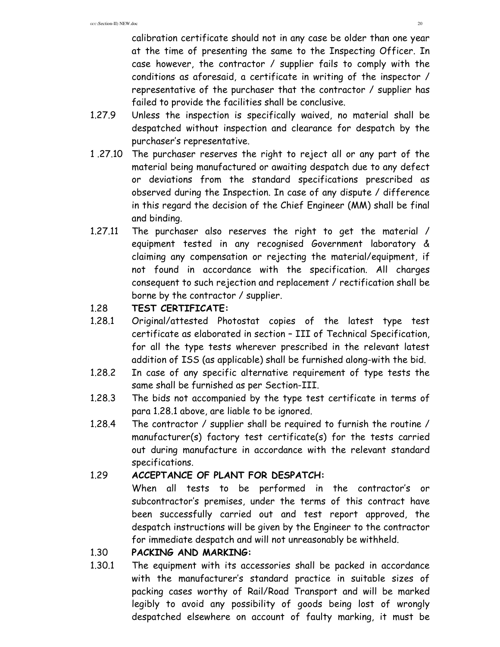calibration certificate should not in any case be older than one year at the time of presenting the same to the Inspecting Officer. In case however, the contractor / supplier fails to comply with the conditions as aforesaid, a certificate in writing of the inspector / representative of the purchaser that the contractor / supplier has failed to provide the facilities shall be conclusive.

- 1.27.9 Unless the inspection is specifically waived, no material shall be despatched without inspection and clearance for despatch by the purchaser's representative.
- 1 .27.10 The purchaser reserves the right to reject all or any part of the material being manufactured or awaiting despatch due to any defect or deviations from the standard specifications prescribed as observed during the Inspection. In case of any dispute / difference in this regard the decision of the Chief Engineer (MM) shall be final and binding.
- 1.27.11 The purchaser also reserves the right to get the material / equipment tested in any recognised Government laboratory & claiming any compensation or rejecting the material/equipment, if not found in accordance with the specification. All charges consequent to such rejection and replacement / rectification shall be borne by the contractor / supplier.

#### 1.28 **TEST CERTIFICATE:**

- 1.28.1 Original/attested Photostat copies of the latest type test certificate as elaborated in section – III of Technical Specification, for all the type tests wherever prescribed in the relevant latest addition of ISS (as applicable) shall be furnished along-with the bid.
- 1.28.2 In case of any specific alternative requirement of type tests the same shall be furnished as per Section-III.
- 1.28.3 The bids not accompanied by the type test certificate in terms of para 1.28.1 above, are liable to be ignored.
- 1.28.4 The contractor / supplier shall be required to furnish the routine / manufacturer(s) factory test certificate(s) for the tests carried out during manufacture in accordance with the relevant standard specifications.

# 1.29 **ACCEPTANCE OF PLANT FOR DESPATCH:**

 When all tests to be performed in the contractor's or subcontractor's premises, under the terms of this contract have been successfully carried out and test report approved, the despatch instructions will be given by the Engineer to the contractor for immediate despatch and will not unreasonably be withheld.

# 1.30 **PACKING AND MARKING:**

1.30.1 The equipment with its accessories shall be packed in accordance with the manufacturer's standard practice in suitable sizes of packing cases worthy of Rail/Road Transport and will be marked legibly to avoid any possibility of goods being lost of wrongly despatched elsewhere on account of faulty marking, it must be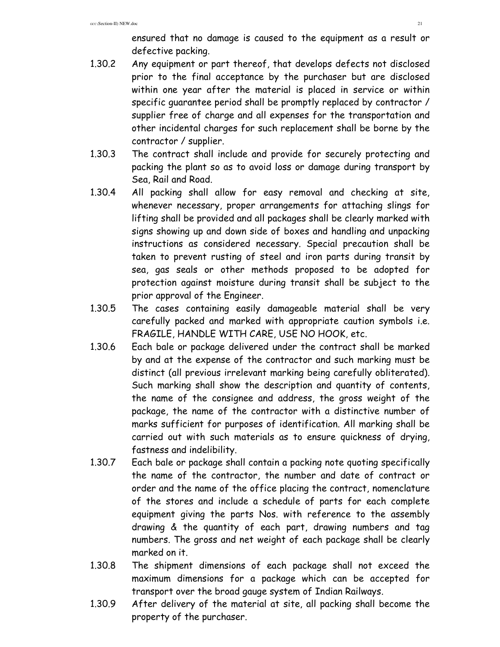ensured that no damage is caused to the equipment as a result or defective packing.

- 1.30.2 Any equipment or part thereof, that develops defects not disclosed prior to the final acceptance by the purchaser but are disclosed within one year after the material is placed in service or within specific guarantee period shall be promptly replaced by contractor / supplier free of charge and all expenses for the transportation and other incidental charges for such replacement shall be borne by the contractor / supplier.
- 1.30.3 The contract shall include and provide for securely protecting and packing the plant so as to avoid loss or damage during transport by Sea, Rail and Road.
- 1.30.4 All packing shall allow for easy removal and checking at site, whenever necessary, proper arrangements for attaching slings for lifting shall be provided and all packages shall be clearly marked with signs showing up and down side of boxes and handling and unpacking instructions as considered necessary. Special precaution shall be taken to prevent rusting of steel and iron parts during transit by sea, gas seals or other methods proposed to be adopted for protection against moisture during transit shall be subject to the prior approval of the Engineer.
- 1.30.5 The cases containing easily damageable material shall be very carefully packed and marked with appropriate caution symbols i.e. FRAGILE, HANDLE WITH CARE, USE NO HOOK, etc.
- 1.30.6 Each bale or package delivered under the contract shall be marked by and at the expense of the contractor and such marking must be distinct (all previous irrelevant marking being carefully obliterated). Such marking shall show the description and quantity of contents, the name of the consignee and address, the gross weight of the package, the name of the contractor with a distinctive number of marks sufficient for purposes of identification. All marking shall be carried out with such materials as to ensure quickness of drying, fastness and indelibility.
- 1.30.7 Each bale or package shall contain a packing note quoting specifically the name of the contractor, the number and date of contract or order and the name of the office placing the contract, nomenclature of the stores and include a schedule of parts for each complete equipment giving the parts Nos. with reference to the assembly drawing & the quantity of each part, drawing numbers and tag numbers. The gross and net weight of each package shall be clearly marked on it.
- 1.30.8 The shipment dimensions of each package shall not exceed the maximum dimensions for a package which can be accepted for transport over the broad gauge system of Indian Railways.
- 1.30.9 After delivery of the material at site, all packing shall become the property of the purchaser.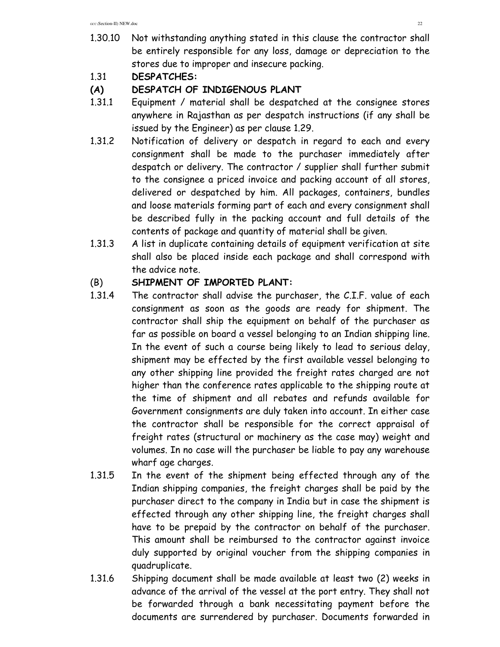- 1.30.10 Not withstanding anything stated in this clause the contractor shall be entirely responsible for any loss, damage or depreciation to the stores due to improper and insecure packing.
- 1.31 **DESPATCHES:**

# **(A) DESPATCH OF INDIGENOUS PLANT**

- 1.31.1 Equipment / material shall be despatched at the consignee stores anywhere in Rajasthan as per despatch instructions (if any shall be issued by the Engineer) as per clause 1.29.
- 1.31.2 Notification of delivery or despatch in regard to each and every consignment shall be made to the purchaser immediately after despatch or delivery. The contractor / supplier shall further submit to the consignee a priced invoice and packing account of all stores, delivered or despatched by him. All packages, containers, bundles and loose materials forming part of each and every consignment shall be described fully in the packing account and full details of the contents of package and quantity of material shall be given.
- 1.31.3 A list in duplicate containing details of equipment verification at site shall also be placed inside each package and shall correspond with the advice note.

# (B) **SHIPMENT OF IMPORTED PLANT:**

- 1.31.4 The contractor shall advise the purchaser, the C.I.F. value of each consignment as soon as the goods are ready for shipment. The contractor shall ship the equipment on behalf of the purchaser as far as possible on board a vessel belonging to an Indian shipping line. In the event of such a course being likely to lead to serious delay, shipment may be effected by the first available vessel belonging to any other shipping line provided the freight rates charged are not higher than the conference rates applicable to the shipping route at the time of shipment and all rebates and refunds available for Government consignments are duly taken into account. In either case the contractor shall be responsible for the correct appraisal of freight rates (structural or machinery as the case may) weight and volumes. In no case will the purchaser be liable to pay any warehouse wharf age charges.
- 1.31.5 In the event of the shipment being effected through any of the Indian shipping companies, the freight charges shall be paid by the purchaser direct to the company in India but in case the shipment is effected through any other shipping line, the freight charges shall have to be prepaid by the contractor on behalf of the purchaser. This amount shall be reimbursed to the contractor against invoice duly supported by original voucher from the shipping companies in quadruplicate.
- 1.31.6 Shipping document shall be made available at least two (2) weeks in advance of the arrival of the vessel at the port entry. They shall not be forwarded through a bank necessitating payment before the documents are surrendered by purchaser. Documents forwarded in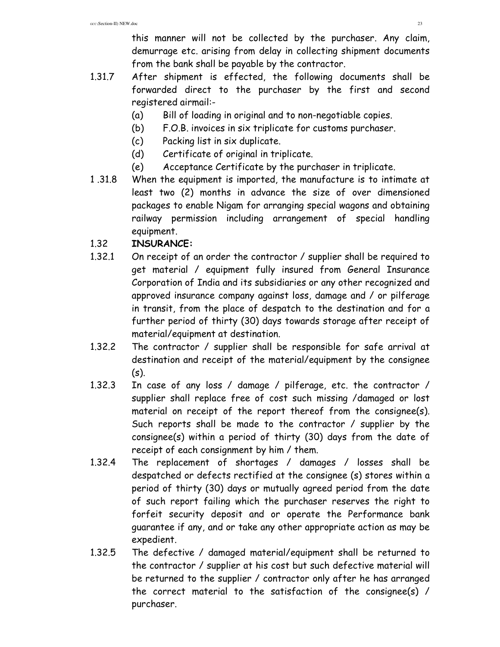this manner will not be collected by the purchaser. Any claim, demurrage etc. arising from delay in collecting shipment documents from the bank shall be payable by the contractor.

- 1.31.7 After shipment is effected, the following documents shall be forwarded direct to the purchaser by the first and second registered airmail:-
	- (a) Bill of loading in original and to non-negotiable copies.
	- (b) F.O.B. invoices in six triplicate for customs purchaser.
	- (c) Packing list in six duplicate.
	- (d) Certificate of original in triplicate.
	- (e) Acceptance Certificate by the purchaser in triplicate.
- 1 .31.8 When the equipment is imported, the manufacture is to intimate at least two (2) months in advance the size of over dimensioned packages to enable Nigam for arranging special wagons and obtaining railway permission including arrangement of special handling equipment.

# 1.32 **INSURANCE:**

- 1.32.1 On receipt of an order the contractor / supplier shall be required to get material / equipment fully insured from General Insurance Corporation of India and its subsidiaries or any other recognized and approved insurance company against loss, damage and / or pilferage in transit, from the place of despatch to the destination and for a further period of thirty (30) days towards storage after receipt of material/equipment at destination.
- 1.32.2 The contractor / supplier shall be responsible for safe arrival at destination and receipt of the material/equipment by the consignee (s).
- 1.32.3 In case of any loss / damage / pilferage, etc. the contractor / supplier shall replace free of cost such missing /damaged or lost material on receipt of the report thereof from the consignee(s). Such reports shall be made to the contractor / supplier by the consignee(s) within a period of thirty (30) days from the date of receipt of each consignment by him / them.
- 1.32.4 The replacement of shortages / damages / losses shall be despatched or defects rectified at the consignee (s) stores within a period of thirty (30) days or mutually agreed period from the date of such report failing which the purchaser reserves the right to forfeit security deposit and or operate the Performance bank guarantee if any, and or take any other appropriate action as may be expedient.
- 1.32.5 The defective / damaged material/equipment shall be returned to the contractor / supplier at his cost but such defective material will be returned to the supplier / contractor only after he has arranged the correct material to the satisfaction of the consignee(s) / purchaser.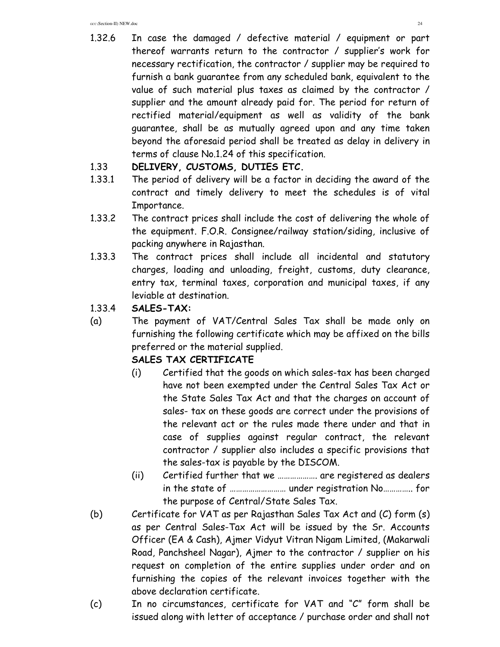1.32.6 In case the damaged / defective material / equipment or part thereof warrants return to the contractor / supplier's work for necessary rectification, the contractor / supplier may be required to furnish a bank guarantee from any scheduled bank, equivalent to the value of such material plus taxes as claimed by the contractor / supplier and the amount already paid for. The period for return of rectified material/equipment as well as validity of the bank guarantee, shall be as mutually agreed upon and any time taken beyond the aforesaid period shall be treated as delay in delivery in terms of clause No.1.24 of this specification.

#### 1.33 **DELIVERY, CUSTOMS, DUTIES ETC.**

- 1.33.1 The period of delivery will be a factor in deciding the award of the contract and timely delivery to meet the schedules is of vital Importance.
- 1.33.2 The contract prices shall include the cost of delivering the whole of the equipment. F.O.R. Consignee/railway station/siding, inclusive of packing anywhere in Rajasthan.
- 1.33.3 The contract prices shall include all incidental and statutory charges, loading and unloading, freight, customs, duty clearance, entry tax, terminal taxes, corporation and municipal taxes, if any leviable at destination.
- 1.33.4 **SALES-TAX:**
- (a) The payment of VAT/Central Sales Tax shall be made only on furnishing the following certificate which may be affixed on the bills preferred or the material supplied.

# **SALES TAX CERTIFICATE**

- (i) Certified that the goods on which sales-tax has been charged have not been exempted under the Central Sales Tax Act or the State Sales Tax Act and that the charges on account of sales- tax on these goods are correct under the provisions of the relevant act or the rules made there under and that in case of supplies against regular contract, the relevant contractor / supplier also includes a specific provisions that the sales-tax is payable by the DISCOM.
- (ii) Certified further that we ………………. are registered as dealers in the state of ……………………… under registration No………….. for the purpose of Central/State Sales Tax.
- (b) Certificate for VAT as per Rajasthan Sales Tax Act and (C) form (s) as per Central Sales-Tax Act will be issued by the Sr. Accounts Officer (EA & Cash), Ajmer Vidyut Vitran Nigam Limited, (Makarwali Road, Panchsheel Nagar), Ajmer to the contractor / supplier on his request on completion of the entire supplies under order and on furnishing the copies of the relevant invoices together with the above declaration certificate.
- (c) In no circumstances, certificate for VAT and "C" form shall be issued along with letter of acceptance / purchase order and shall not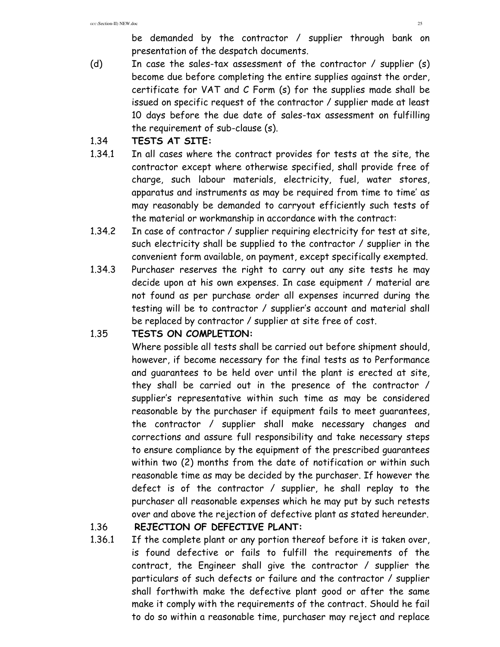be demanded by the contractor / supplier through bank on presentation of the despatch documents.

(d) In case the sales-tax assessment of the contractor / supplier (s) become due before completing the entire supplies against the order, certificate for VAT and C Form (s) for the supplies made shall be issued on specific request of the contractor / supplier made at least 10 days before the due date of sales-tax assessment on fulfilling the requirement of sub-clause (s).

#### 1.34 **TESTS AT SITE:**

- 1.34.1 In all cases where the contract provides for tests at the site, the contractor except where otherwise specified, shall provide free of charge, such labour materials, electricity, fuel, water stores, apparatus and instruments as may be required from time to time' as may reasonably be demanded to carryout efficiently such tests of the material or workmanship in accordance with the contract:
- 1.34.2 In case of contractor / supplier requiring electricity for test at site, such electricity shall be supplied to the contractor / supplier in the convenient form available, on payment, except specifically exempted.
- 1.34.3 Purchaser reserves the right to carry out any site tests he may decide upon at his own expenses. In case equipment / material are not found as per purchase order all expenses incurred during the testing will be to contractor / supplier's account and material shall be replaced by contractor / supplier at site free of cost.

# 1.35 **TESTS ON COMPLETION:**

Where possible all tests shall be carried out before shipment should, however, if become necessary for the final tests as to Performance and guarantees to be held over until the plant is erected at site, they shall be carried out in the presence of the contractor / supplier's representative within such time as may be considered reasonable by the purchaser if equipment fails to meet guarantees, the contractor / supplier shall make necessary changes and corrections and assure full responsibility and take necessary steps to ensure compliance by the equipment of the prescribed guarantees within two (2) months from the date of notification or within such reasonable time as may be decided by the purchaser. If however the defect is of the contractor / supplier, he shall replay to the purchaser all reasonable expenses which he may put by such retests over and above the rejection of defective plant as stated hereunder.

# 1.36 **REJECTION OF DEFECTIVE PLANT:**

1.36.1 If the complete plant or any portion thereof before it is taken over, is found defective or fails to fulfill the requirements of the contract, the Engineer shall give the contractor / supplier the particulars of such defects or failure and the contractor / supplier shall forthwith make the defective plant good or after the same make it comply with the requirements of the contract. Should he fail to do so within a reasonable time, purchaser may reject and replace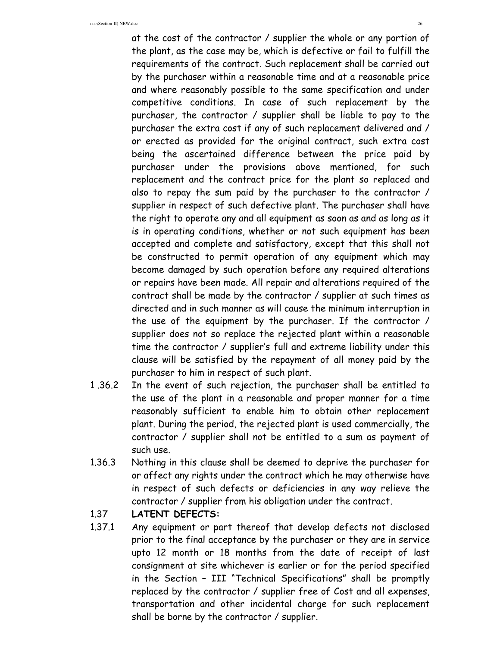at the cost of the contractor / supplier the whole or any portion of the plant, as the case may be, which is defective or fail to fulfill the requirements of the contract. Such replacement shall be carried out by the purchaser within a reasonable time and at a reasonable price and where reasonably possible to the same specification and under competitive conditions. In case of such replacement by the purchaser, the contractor / supplier shall be liable to pay to the purchaser the extra cost if any of such replacement delivered and / or erected as provided for the original contract, such extra cost being the ascertained difference between the price paid by purchaser under the provisions above mentioned, for such replacement and the contract price for the plant so replaced and also to repay the sum paid by the purchaser to the contractor / supplier in respect of such defective plant. The purchaser shall have the right to operate any and all equipment as soon as and as long as it is in operating conditions, whether or not such equipment has been accepted and complete and satisfactory, except that this shall not be constructed to permit operation of any equipment which may become damaged by such operation before any required alterations or repairs have been made. All repair and alterations required of the contract shall be made by the contractor / supplier at such times as directed and in such manner as will cause the minimum interruption in the use of the equipment by the purchaser. If the contractor / supplier does not so replace the rejected plant within a reasonable time the contractor / supplier's full and extreme liability under this clause will be satisfied by the repayment of all money paid by the purchaser to him in respect of such plant.

- 1 .36.2 In the event of such rejection, the purchaser shall be entitled to the use of the plant in a reasonable and proper manner for a time reasonably sufficient to enable him to obtain other replacement plant. During the period, the rejected plant is used commercially, the contractor / supplier shall not be entitled to a sum as payment of such use.
- 1.36.3 Nothing in this clause shall be deemed to deprive the purchaser for or affect any rights under the contract which he may otherwise have in respect of such defects or deficiencies in any way relieve the contractor / supplier from his obligation under the contract.

#### 1.37 **LATENT DEFECTS:**

1.37.1 Any equipment or part thereof that develop defects not disclosed prior to the final acceptance by the purchaser or they are in service upto 12 month or 18 months from the date of receipt of last consignment at site whichever is earlier or for the period specified in the Section – III "Technical Specifications" shall be promptly replaced by the contractor / supplier free of Cost and all expenses, transportation and other incidental charge for such replacement shall be borne by the contractor / supplier.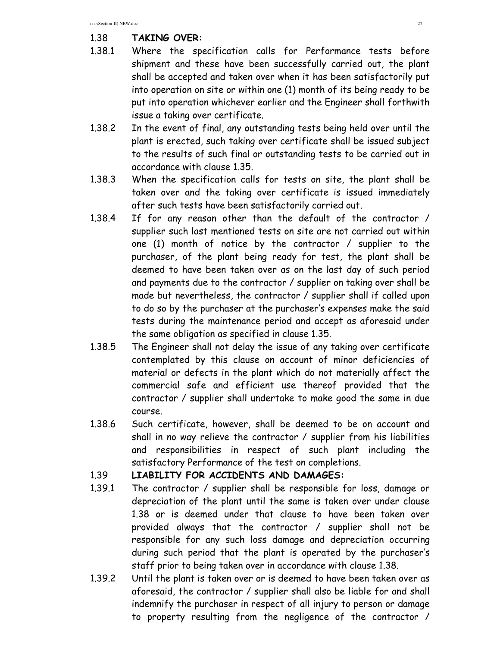# 1.38 **TAKING OVER:**

- 1.38.1 Where the specification calls for Performance tests before shipment and these have been successfully carried out, the plant shall be accepted and taken over when it has been satisfactorily put into operation on site or within one (1) month of its being ready to be put into operation whichever earlier and the Engineer shall forthwith issue a taking over certificate.
- 1.38.2 In the event of final, any outstanding tests being held over until the plant is erected, such taking over certificate shall be issued subject to the results of such final or outstanding tests to be carried out in accordance with clause 1.35.
- 1.38.3 When the specification calls for tests on site, the plant shall be taken over and the taking over certificate is issued immediately after such tests have been satisfactorily carried out.
- 1.38.4 If for any reason other than the default of the contractor / supplier such last mentioned tests on site are not carried out within one (1) month of notice by the contractor / supplier to the purchaser, of the plant being ready for test, the plant shall be deemed to have been taken over as on the last day of such period and payments due to the contractor / supplier on taking over shall be made but nevertheless, the contractor / supplier shall if called upon to do so by the purchaser at the purchaser's expenses make the said tests during the maintenance period and accept as aforesaid under the same obligation as specified in clause 1.35.
- 1.38.5 The Engineer shall not delay the issue of any taking over certificate contemplated by this clause on account of minor deficiencies of material or defects in the plant which do not materially affect the commercial safe and efficient use thereof provided that the contractor / supplier shall undertake to make good the same in due course.
- 1.38.6 Such certificate, however, shall be deemed to be on account and shall in no way relieve the contractor / supplier from his liabilities and responsibilities in respect of such plant including the satisfactory Performance of the test on completions.

#### 1.39 **LIABILITY FOR ACCIDENTS AND DAMAGES:**

- 1.39.1 The contractor / supplier shall be responsible for loss, damage or depreciation of the plant until the same is taken over under clause 1.38 or is deemed under that clause to have been taken over provided always that the contractor / supplier shall not be responsible for any such loss damage and depreciation occurring during such period that the plant is operated by the purchaser's staff prior to being taken over in accordance with clause 1.38.
- 1.39.2 Until the plant is taken over or is deemed to have been taken over as aforesaid, the contractor / supplier shall also be liable for and shall indemnify the purchaser in respect of all injury to person or damage to property resulting from the negligence of the contractor /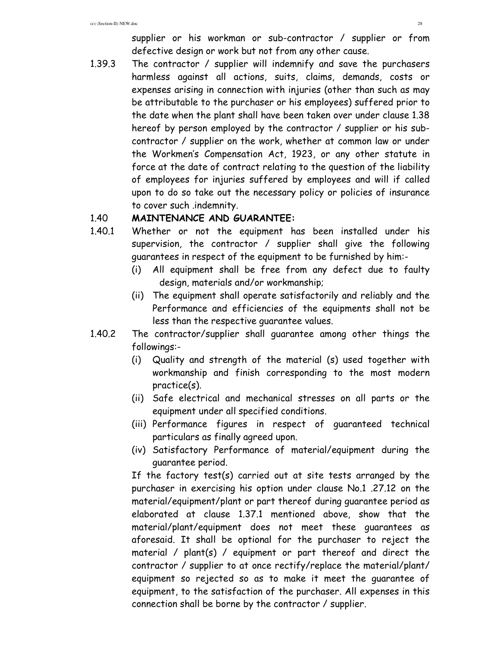supplier or his workman or sub-contractor / supplier or from defective design or work but not from any other cause.

1.39.3 The contractor / supplier will indemnify and save the purchasers harmless against all actions, suits, claims, demands, costs or expenses arising in connection with injuries (other than such as may be attributable to the purchaser or his employees) suffered prior to the date when the plant shall have been taken over under clause 1.38 hereof by person employed by the contractor / supplier or his subcontractor / supplier on the work, whether at common law or under the Workmen's Compensation Act, 1923, or any other statute in force at the date of contract relating to the question of the liability of employees for injuries suffered by employees and will if called upon to do so take out the necessary policy or policies of insurance to cover such .indemnity.

#### 1.40 **MAINTENANCE AND GUARANTEE:**

- 1.40.1 Whether or not the equipment has been installed under his supervision, the contractor / supplier shall give the following guarantees in respect of the equipment to be furnished by him:-
	- (i) All equipment shall be free from any defect due to faulty design, materials and/or workmanship;
	- (ii) The equipment shall operate satisfactorily and reliably and the Performance and efficiencies of the equipments shall not be less than the respective guarantee values.
- 1.40.2 The contractor/supplier shall guarantee among other things the followings:-
	- (i) Quality and strength of the material (s) used together with workmanship and finish corresponding to the most modern practice(s).
	- (ii) Safe electrical and mechanical stresses on all parts or the equipment under all specified conditions.
	- (iii) Performance figures in respect of guaranteed technical particulars as finally agreed upon.
	- (iv) Satisfactory Performance of material/equipment during the guarantee period.

If the factory test(s) carried out at site tests arranged by the purchaser in exercising his option under clause No.1 .27.12 on the material/equipment/plant or part thereof during guarantee period as elaborated at clause 1.37.1 mentioned above, show that the material/plant/equipment does not meet these guarantees as aforesaid. It shall be optional for the purchaser to reject the material / plant(s) / equipment or part thereof and direct the contractor / supplier to at once rectify/replace the material/plant/ equipment so rejected so as to make it meet the guarantee of equipment, to the satisfaction of the purchaser. All expenses in this connection shall be borne by the contractor / supplier.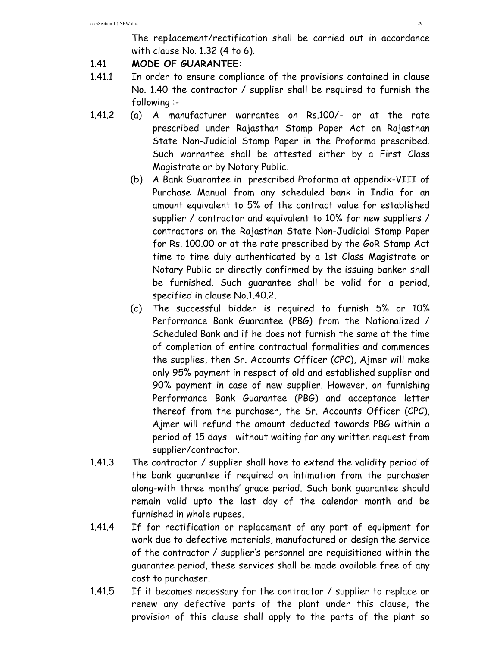The rep1acement/rectification shall be carried out in accordance with clause No. 1.32 (4 to 6).

#### 1.41 **MODE OF GUARANTEE:**

- 1.41.1 In order to ensure compliance of the provisions contained in clause No. 1.40 the contractor / supplier shall be required to furnish the following :-
- 1.41.2 (a) A manufacturer warrantee on Rs.100/- or at the rate prescribed under Rajasthan Stamp Paper Act on Rajasthan State Non-Judicial Stamp Paper in the Proforma prescribed. Such warrantee shall be attested either by a First Class Magistrate or by Notary Public.
	- (b) A Bank Guarantee in prescribed Proforma at appendix-VIII of Purchase Manual from any scheduled bank in India for an amount equivalent to 5% of the contract value for established supplier / contractor and equivalent to 10% for new suppliers / contractors on the Rajasthan State Non-Judicial Stamp Paper for Rs. 100.00 or at the rate prescribed by the GoR Stamp Act time to time duly authenticated by a 1st Class Magistrate or Notary Public or directly confirmed by the issuing banker shall be furnished. Such guarantee shall be valid for a period, specified in clause No.1.40.2.
	- (c) The successful bidder is required to furnish 5% or 10% Performance Bank Guarantee (PBG) from the Nationalized / Scheduled Bank and if he does not furnish the same at the time of completion of entire contractual formalities and commences the supplies, then Sr. Accounts Officer (CPC), Ajmer will make only 95% payment in respect of old and established supplier and 90% payment in case of new supplier. However, on furnishing Performance Bank Guarantee (PBG) and acceptance letter thereof from the purchaser, the Sr. Accounts Officer (CPC), Ajmer will refund the amount deducted towards PBG within a period of 15 days without waiting for any written request from supplier/contractor.
- 1.41.3 The contractor / supplier shall have to extend the validity period of the bank guarantee if required on intimation from the purchaser along-with three months' grace period. Such bank guarantee should remain valid upto the last day of the calendar month and be furnished in whole rupees.
- 1.41.4 If for rectification or replacement of any part of equipment for work due to defective materials, manufactured or design the service of the contractor / supplier's personnel are requisitioned within the guarantee period, these services shall be made available free of any cost to purchaser.
- 1.41.5 If it becomes necessary for the contractor / supplier to replace or renew any defective parts of the plant under this clause, the provision of this clause shall apply to the parts of the plant so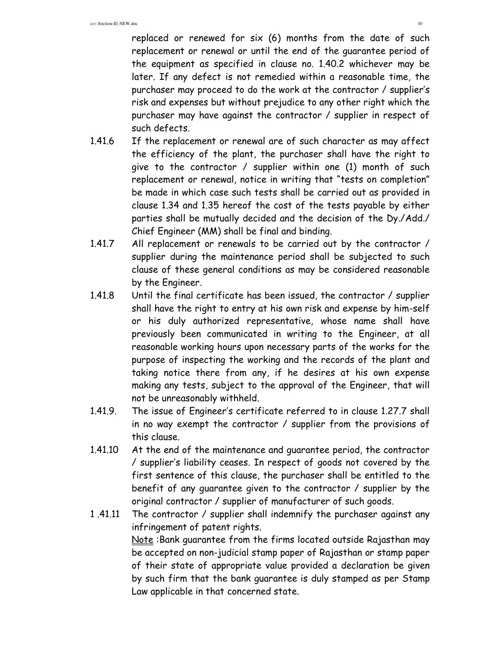replaced or renewed for six (6) months from the date of such replacement or renewal or until the end of the guarantee period of the equipment as specified in clause no. 1.40.2 whichever may be later. If any defect is not remedied within a reasonable time, the purchaser may proceed to do the work at the contractor / supplier's risk and expenses but without prejudice to any other right which the purchaser may have against the contractor / supplier in respect of such defects.

- 1.41.6 If the replacement or renewal are of such character as may affect the efficiency of the plant, the purchaser shall have the right to give to the contractor / supplier within one (1) month of such replacement or renewal, notice in writing that "tests on completion" be made in which case such tests shall be carried out as provided in clause 1.34 and 1.35 hereof the cost of the tests payable by either parties shall be mutually decided and the decision of the Dy./Add./ Chief Engineer (MM) shall be final and binding.
- 1.41.7 All replacement or renewals to be carried out by the contractor / supplier during the maintenance period shall be subjected to such clause of these general conditions as may be considered reasonable by the Engineer.
- 1.41.8 Until the final certificate has been issued, the contractor / supplier shall have the right to entry at his own risk and expense by him-self or his duly authorized representative, whose name shall have previously been communicated in writing to the Engineer, at all reasonable working hours upon necessary parts of the works for the purpose of inspecting the working and the records of the plant and taking notice there from any, if he desires at his own expense making any tests, subject to the approval of the Engineer, that will not be unreasonably withheld.
- 1.41.9. The issue of Engineer's certificate referred to in clause 1.27.7 shall in no way exempt the contractor / supplier from the provisions of this clause.
- 1.41.10 At the end of the maintenance and guarantee period, the contractor / supplier's liability ceases. In respect of goods not covered by the first sentence of this clause, the purchaser shall be entitled to the benefit of any guarantee given to the contractor / supplier by the original contractor / supplier of manufacturer of such goods.
- 1 .41.11 The contractor / supplier shall indemnify the purchaser against any infringement of patent rights. Note :Bank guarantee from the firms located outside Rajasthan may be accepted on non-judicial stamp paper of Rajasthan or stamp paper of their state of appropriate value provided a declaration be given by such firm that the bank guarantee is duly stamped as per Stamp Law applicable in that concerned state.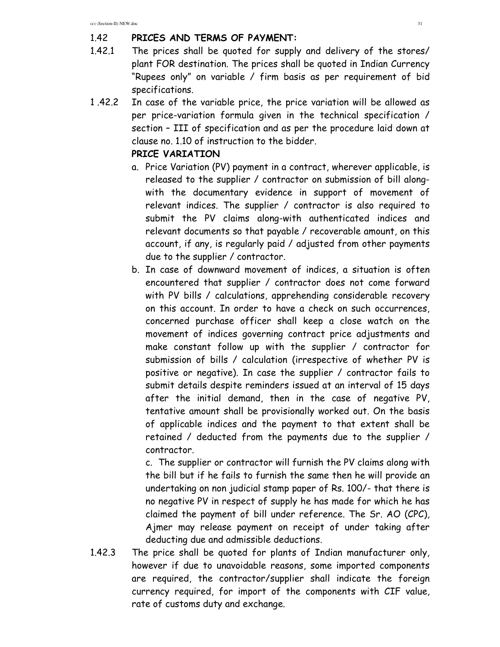#### 1.42 **PRICES AND TERMS OF PAYMENT:**

- 1.42.1 The prices shall be quoted for supply and delivery of the stores/ plant FOR destination. The prices shall be quoted in Indian Currency "Rupees only" on variable / firm basis as per requirement of bid specifications.
- 1 .42.2 In case of the variable price, the price variation will be allowed as per price-variation formula given in the technical specification / section – III of specification and as per the procedure laid down at clause no. 1.10 of instruction to the bidder.

#### **PRICE VARIATION**

- a. Price Variation (PV) payment in a contract, wherever applicable, is released to the supplier / contractor on submission of bill alongwith the documentary evidence in support of movement of relevant indices. The supplier / contractor is also required to submit the PV claims along-with authenticated indices and relevant documents so that payable / recoverable amount, on this account, if any, is regularly paid / adjusted from other payments due to the supplier / contractor.
- b. In case of downward movement of indices, a situation is often encountered that supplier / contractor does not come forward with PV bills / calculations, apprehending considerable recovery on this account. In order to have a check on such occurrences, concerned purchase officer shall keep a close watch on the movement of indices governing contract price adjustments and make constant follow up with the supplier / contractor for submission of bills / calculation (irrespective of whether PV is positive or negative). In case the supplier / contractor fails to submit details despite reminders issued at an interval of 15 days after the initial demand, then in the case of negative PV, tentative amount shall be provisionally worked out. On the basis of applicable indices and the payment to that extent shall be retained / deducted from the payments due to the supplier / contractor.

c. The supplier or contractor will furnish the PV claims along with the bill but if he fails to furnish the same then he will provide an undertaking on non judicial stamp paper of Rs. 100/- that there is no negative PV in respect of supply he has made for which he has claimed the payment of bill under reference. The Sr. AO (CPC), Ajmer may release payment on receipt of under taking after deducting due and admissible deductions.

1.42.3 The price shall be quoted for plants of Indian manufacturer only, however if due to unavoidable reasons, some imported components are required, the contractor/supplier shall indicate the foreign currency required, for import of the components with CIF value, rate of customs duty and exchange.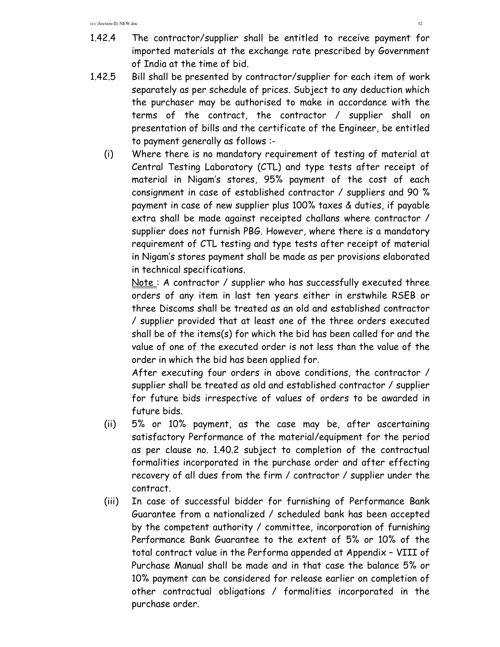- 1.42.4 The contractor/supplier shall be entitled to receive payment for imported materials at the exchange rate prescribed by Government of India at the time of bid.
- 1.42.5 Bill shall be presented by contractor/supplier for each item of work separately as per schedule of prices. Subject to any deduction which the purchaser may be authorised to make in accordance with the terms of the contract, the contractor / supplier shall on presentation of bills and the certificate of the Engineer, be entitled to payment generally as follows :-
	- (i) Where there is no mandatory requirement of testing of material at Central Testing Laboratory (CTL) and type tests after receipt of material in Nigam's stores, 95% payment of the cost of each consignment in case of established contractor / suppliers and 90 % payment in case of new supplier plus 100% taxes & duties, if payable extra shall be made against receipted challans where contractor / supplier does not furnish PBG. However, where there is a mandatory requirement of CTL testing and type tests after receipt of material in Nigam's stores payment shall be made as per provisions elaborated in technical specifications.

Note: A contractor / supplier who has successfully executed three orders of any item in last ten years either in erstwhile RSEB or three Discoms shall be treated as an old and established contractor / supplier provided that at least one of the three orders executed shall be of the items(s) for which the bid has been called for and the value of one of the executed order is not less than the value of the order in which the bid has been applied for.

After executing four orders in above conditions, the contractor / supplier shall be treated as old and established contractor / supplier for future bids irrespective of values of orders to be awarded in future bids.

- (ii) 5% or 10% payment, as the case may be, after ascertaining satisfactory Performance of the material/equipment for the period as per clause no. 1.40.2 subject to completion of the contractual formalities incorporated in the purchase order and after effecting recovery of all dues from the firm / contractor / supplier under the contract.
- (iii) In case of successful bidder for furnishing of Performance Bank Guarantee from a nationalized / scheduled bank has been accepted by the competent authority / committee, incorporation of furnishing Performance Bank Guarantee to the extent of 5% or 10% of the total contract value in the Performa appended at Appendix – VIII of Purchase Manual shall be made and in that case the balance 5% or 10% payment can be considered for release earlier on completion of other contractual obligations / formalities incorporated in the purchase order.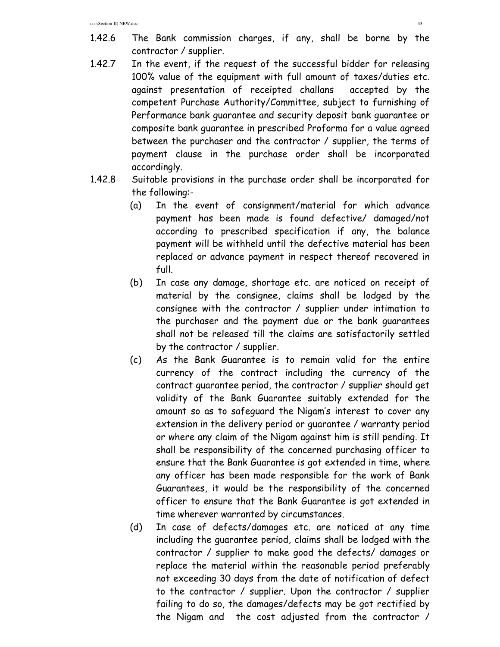- 1.42.6 The Bank commission charges, if any, shall be borne by the contractor / supplier.
- 1.42.7 In the event, if the request of the successful bidder for releasing 100% value of the equipment with full amount of taxes/duties etc. against presentation of receipted challans accepted by the competent Purchase Authority/Committee, subject to furnishing of Performance bank guarantee and security deposit bank guarantee or composite bank guarantee in prescribed Proforma for a value agreed between the purchaser and the contractor / supplier, the terms of payment clause in the purchase order shall be incorporated accordingly.
- 1.42.8 Suitable provisions in the purchase order shall be incorporated for the following:-
	- (a) In the event of consignment/material for which advance payment has been made is found defective/ damaged/not according to prescribed specification if any, the balance payment will be withheld until the defective material has been replaced or advance payment in respect thereof recovered in full.
	- (b) In case any damage, shortage etc. are noticed on receipt of material by the consignee, claims shall be lodged by the consignee with the contractor / supplier under intimation to the purchaser and the payment due or the bank guarantees shall not be released till the claims are satisfactorily settled by the contractor / supplier.
	- (c) As the Bank Guarantee is to remain valid for the entire currency of the contract including the currency of the contract guarantee period, the contractor / supplier should get validity of the Bank Guarantee suitably extended for the amount so as to safeguard the Nigam's interest to cover any extension in the delivery period or guarantee / warranty period or where any claim of the Nigam against him is still pending. It shall be responsibility of the concerned purchasing officer to ensure that the Bank Guarantee is got extended in time, where any officer has been made responsible for the work of Bank Guarantees, it would be the responsibility of the concerned officer to ensure that the Bank Guarantee is got extended in time wherever warranted by circumstances.
	- (d) In case of defects/damages etc. are noticed at any time including the guarantee period, claims shall be lodged with the contractor / supplier to make good the defects/ damages or replace the material within the reasonable period preferably not exceeding 30 days from the date of notification of defect to the contractor / supplier. Upon the contractor / supplier failing to do so, the damages/defects may be got rectified by the Nigam and the cost adjusted from the contractor /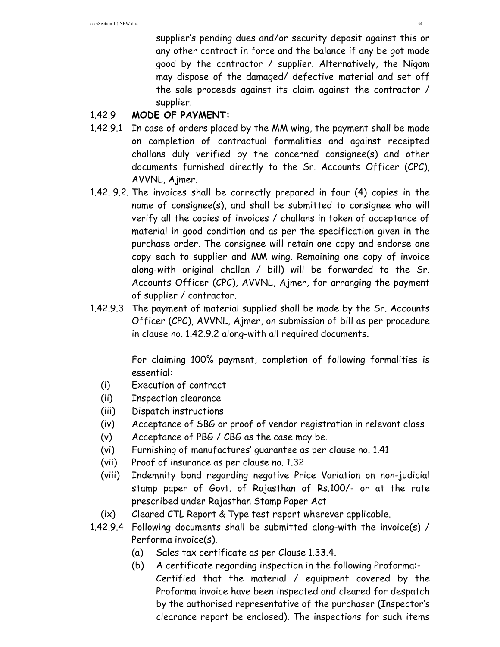supplier's pending dues and/or security deposit against this or any other contract in force and the balance if any be got made good by the contractor / supplier. Alternatively, the Nigam may dispose of the damaged/ defective material and set off the sale proceeds against its claim against the contractor / supplier.

# 1.42.9 **MODE OF PAYMENT:**

- 1.42.9.1 In case of orders placed by the MM wing, the payment shall be made on completion of contractual formalities and against receipted challans duly verified by the concerned consignee(s) and other documents furnished directly to the Sr. Accounts Officer (CPC), AVVNL, Ajmer.
- 1.42. 9.2. The invoices shall be correctly prepared in four (4) copies in the name of consignee(s), and shall be submitted to consignee who will verify all the copies of invoices / challans in token of acceptance of material in good condition and as per the specification given in the purchase order. The consignee will retain one copy and endorse one copy each to supplier and MM wing. Remaining one copy of invoice along-with original challan / bill) will be forwarded to the Sr. Accounts Officer (CPC), AVVNL, Ajmer, for arranging the payment of supplier / contractor.
- 1.42.9.3 The payment of material supplied shall be made by the Sr. Accounts Officer (CPC), AVVNL, Ajmer, on submission of bill as per procedure in clause no. 1.42.9.2 along-with all required documents.

 For claiming 100% payment, completion of following formalities is essential:

- (i) Execution of contract
- (ii) Inspection clearance
- (iii) Dispatch instructions
- (iv) Acceptance of SBG or proof of vendor registration in relevant class
- (v) Acceptance of PBG / CBG as the case may be.
- (vi) Furnishing of manufactures' guarantee as per clause no. 1.41
- (vii) Proof of insurance as per clause no. 1.32
- (viii) Indemnity bond regarding negative Price Variation on non-judicial stamp paper of Govt. of Rajasthan of Rs.100/- or at the rate prescribed under Rajasthan Stamp Paper Act
- (ix) Cleared CTL Report & Type test report wherever applicable.
- 1.42.9.4 Following documents shall be submitted along-with the invoice(s) / Performa invoice(s).
	- (a) Sales tax certificate as per Clause 1.33.4.
	- (b) A certificate regarding inspection in the following Proforma:- Certified that the material / equipment covered by the Proforma invoice have been inspected and cleared for despatch by the authorised representative of the purchaser (Inspector's clearance report be enclosed). The inspections for such items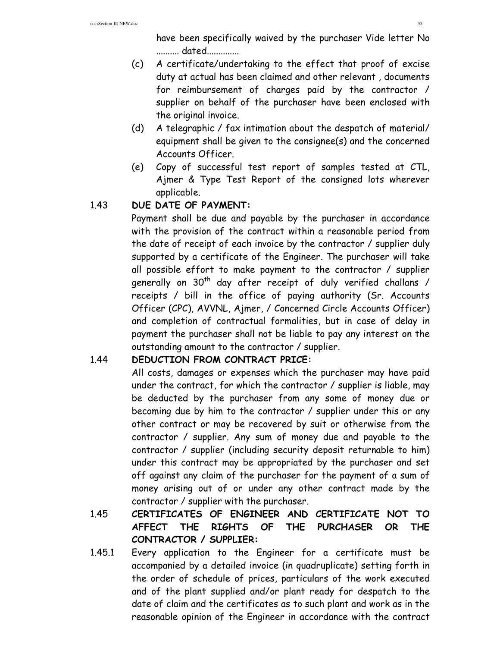have been specifically waived by the purchaser Vide letter No .......... dated..............

- (c) A certificate/undertaking to the effect that proof of excise duty at actual has been claimed and other relevant , documents for reimbursement of charges paid by the contractor / supplier on behalf of the purchaser have been enclosed with the original invoice.
- (d) A telegraphic / fax intimation about the despatch of material/ equipment shall be given to the consignee(s) and the concerned Accounts Officer.
- (e) Copy of successful test report of samples tested at CTL, Ajmer & Type Test Report of the consigned lots wherever applicable.

# 1.43 **DUE DATE OF PAYMENT:**

Payment shall be due and payable by the purchaser in accordance with the provision of the contract within a reasonable period from the date of receipt of each invoice by the contractor / supplier duly supported by a certificate of the Engineer. The purchaser will take all possible effort to make payment to the contractor / supplier generally on  $30<sup>th</sup>$  day after receipt of duly verified challans / receipts / bill in the office of paying authority (Sr. Accounts Officer (CPC), AVVNL, Ajmer, / Concerned Circle Accounts Officer) and completion of contractual formalities, but in case of delay in payment the purchaser shall not be liable to pay any interest on the outstanding amount to the contractor / supplier.

# 1.44 **DEDUCTION FROM CONTRACT PRICE:**

All costs, damages or expenses which the purchaser may have paid under the contract, for which the contractor / supplier is liable, may be deducted by the purchaser from any some of money due or becoming due by him to the contractor / supplier under this or any other contract or may be recovered by suit or otherwise from the contractor / supplier. Any sum of money due and payable to the contractor / supplier (including security deposit returnable to him) under this contract may be appropriated by the purchaser and set off against any claim of the purchaser for the payment of a sum of money arising out of or under any other contract made by the contractor / supplier with the purchaser.

- 1.45 **CERTIFICATES OF ENGINEER AND CERTIFICATE NOT TO AFFECT THE RIGHTS OF THE PURCHASER OR THE CONTRACTOR / SUPPLIER:**
- 1.45.1 Every application to the Engineer for a certificate must be accompanied by a detailed invoice (in quadruplicate) setting forth in the order of schedule of prices, particulars of the work executed and of the plant supplied and/or plant ready for despatch to the date of claim and the certificates as to such plant and work as in the reasonable opinion of the Engineer in accordance with the contract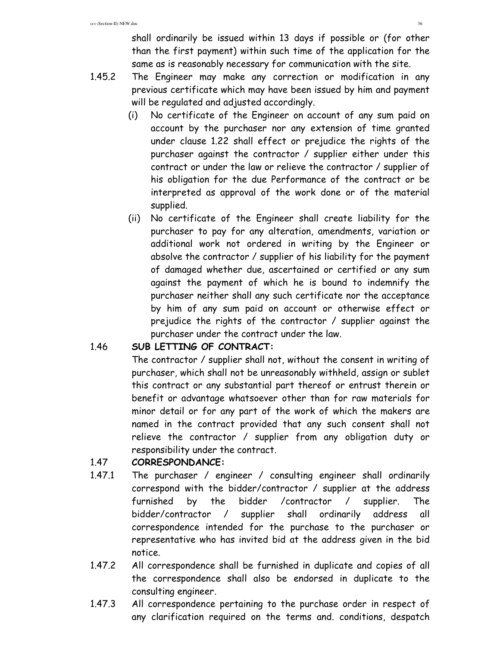shall ordinarily be issued within 13 days if possible or (for other than the first payment) within such time of the application for the same as is reasonably necessary for communication with the site.

- 1.45.2 The Engineer may make any correction or modification in any previous certificate which may have been issued by him and payment will be regulated and adjusted accordingly.
	- (i) No certificate of the Engineer on account of any sum paid on account by the purchaser nor any extension of time granted under clause 1.22 shall effect or prejudice the rights of the purchaser against the contractor / supplier either under this contract or under the law or relieve the contractor / supplier of his obligation for the due Performance of the contract or be interpreted as approval of the work done or of the material supplied.
	- (ii) No certificate of the Engineer shall create liability for the purchaser to pay for any alteration, amendments, variation or additional work not ordered in writing by the Engineer or absolve the contractor / supplier of his liability for the payment of damaged whether due, ascertained or certified or any sum against the payment of which he is bound to indemnify the purchaser neither shall any such certificate nor the acceptance by him of any sum paid on account or otherwise effect or prejudice the rights of the contractor / supplier against the purchaser under the contract under the law.

# 1.46 **SUB LETTING OF CONTRACT:**

 The contractor / supplier shall not, without the consent in writing of purchaser, which shall not be unreasonably withheld, assign or sublet this contract or any substantial part thereof or entrust therein or benefit or advantage whatsoever other than for raw materials for minor detail or for any part of the work of which the makers are named in the contract provided that any such consent shall not relieve the contractor / supplier from any obligation duty or responsibility under the contract.

# 1.47 **CORRESPONDANCE:**

- 1.47.1 The purchaser / engineer / consulting engineer shall ordinarily correspond with the bidder/contractor / supplier at the address furnished by the bidder /contractor / supplier. The bidder/contractor / supplier shall ordinarily address all correspondence intended for the purchase to the purchaser or representative who has invited bid at the address given in the bid notice.
- 1.47.2 All correspondence shall be furnished in duplicate and copies of all the correspondence shall also be endorsed in duplicate to the consulting engineer.
- 1.47.3 All correspondence pertaining to the purchase order in respect of any clarification required on the terms and. conditions, despatch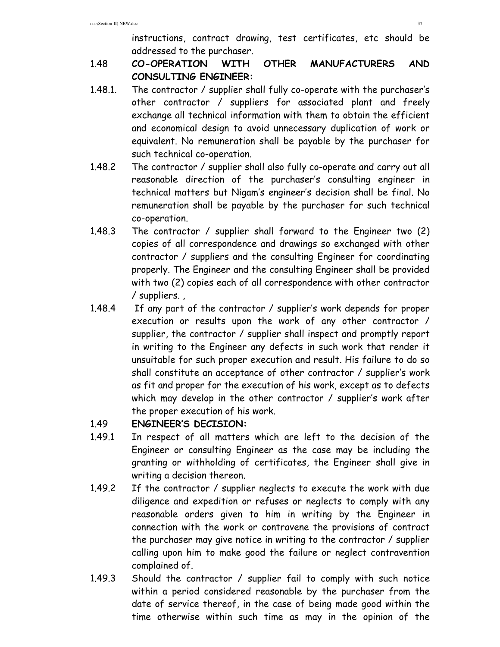instructions, contract drawing, test certificates, etc should be addressed to the purchaser.

- 1.48 **CO-OPERATION WITH OTHER MANUFACTURERS AND CONSULTING ENGINEER:**
- 1.48.1. The contractor / supplier shall fully co-operate with the purchaser's other contractor / suppliers for associated plant and freely exchange all technical information with them to obtain the efficient and economical design to avoid unnecessary duplication of work or equivalent. No remuneration shall be payable by the purchaser for such technical co-operation.
- 1.48.2 The contractor / supplier shall also fully co-operate and carry out all reasonable direction of the purchaser's consulting engineer in technical matters but Nigam's engineer's decision shall be final. No remuneration shall be payable by the purchaser for such technical co-operation.
- 1.48.3 The contractor / supplier shall forward to the Engineer two (2) copies of all correspondence and drawings so exchanged with other contractor / suppliers and the consulting Engineer for coordinating properly. The Engineer and the consulting Engineer shall be provided with two (2) copies each of all correspondence with other contractor / suppliers. ,
- 1.48.4 If any part of the contractor / supplier's work depends for proper execution or results upon the work of any other contractor / supplier, the contractor / supplier shall inspect and promptly report in writing to the Engineer any defects in such work that render it unsuitable for such proper execution and result. His failure to do so shall constitute an acceptance of other contractor / supplier's work as fit and proper for the execution of his work, except as to defects which may develop in the other contractor / supplier's work after the proper execution of his work.

# 1.49 **ENGINEER'S DECISION:**

- 1.49.1 In respect of all matters which are left to the decision of the Engineer or consulting Engineer as the case may be including the granting or withholding of certificates, the Engineer shall give in writing a decision thereon.
- 1.49.2 If the contractor / supplier neglects to execute the work with due diligence and expedition or refuses or neglects to comply with any reasonable orders given to him in writing by the Engineer in connection with the work or contravene the provisions of contract the purchaser may give notice in writing to the contractor / supplier calling upon him to make good the failure or neglect contravention complained of.
- 1.49.3 Should the contractor / supplier fail to comply with such notice within a period considered reasonable by the purchaser from the date of service thereof, in the case of being made good within the time otherwise within such time as may in the opinion of the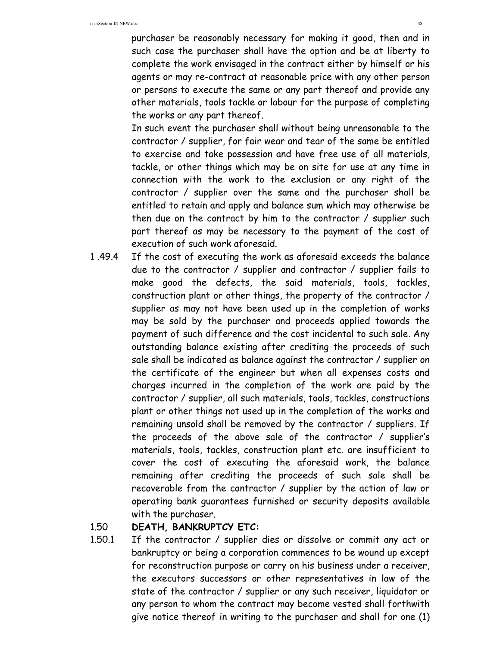purchaser be reasonably necessary for making it good, then and in such case the purchaser shall have the option and be at liberty to complete the work envisaged in the contract either by himself or his agents or may re-contract at reasonable price with any other person or persons to execute the same or any part thereof and provide any other materials, tools tackle or labour for the purpose of completing the works or any part thereof.

 In such event the purchaser shall without being unreasonable to the contractor / supplier, for fair wear and tear of the same be entitled to exercise and take possession and have free use of all materials, tackle, or other things which may be on site for use at any time in connection with the work to the exclusion or any right of the contractor / supplier over the same and the purchaser shall be entitled to retain and apply and balance sum which may otherwise be then due on the contract by him to the contractor / supplier such part thereof as may be necessary to the payment of the cost of execution of such work aforesaid.

1 .49.4 If the cost of executing the work as aforesaid exceeds the balance due to the contractor / supplier and contractor / supplier fails to make good the defects, the said materials, tools, tackles, construction plant or other things, the property of the contractor / supplier as may not have been used up in the completion of works may be sold by the purchaser and proceeds applied towards the payment of such difference and the cost incidental to such sale. Any outstanding balance existing after crediting the proceeds of such sale shall be indicated as balance against the contractor / supplier on the certificate of the engineer but when all expenses costs and charges incurred in the completion of the work are paid by the contractor / supplier, all such materials, tools, tackles, constructions plant or other things not used up in the completion of the works and remaining unsold shall be removed by the contractor / suppliers. If the proceeds of the above sale of the contractor / supplier's materials, tools, tackles, construction plant etc. are insufficient to cover the cost of executing the aforesaid work, the balance remaining after crediting the proceeds of such sale shall be recoverable from the contractor / supplier by the action of law or operating bank guarantees furnished or security deposits available with the purchaser.

#### 1.50 **DEATH, BANKRUPTCY ETC:**

1.50.1 If the contractor / supplier dies or dissolve or commit any act or bankruptcy or being a corporation commences to be wound up except for reconstruction purpose or carry on his business under a receiver, the executors successors or other representatives in law of the state of the contractor / supplier or any such receiver, liquidator or any person to whom the contract may become vested shall forthwith give notice thereof in writing to the purchaser and shall for one (1)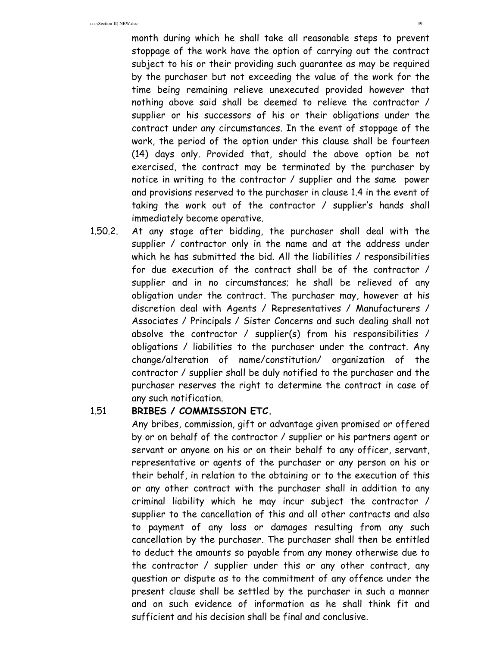month during which he shall take all reasonable steps to prevent stoppage of the work have the option of carrying out the contract subject to his or their providing such guarantee as may be required by the purchaser but not exceeding the value of the work for the time being remaining relieve unexecuted provided however that nothing above said shall be deemed to relieve the contractor / supplier or his successors of his or their obligations under the contract under any circumstances. In the event of stoppage of the work, the period of the option under this clause shall be fourteen (14) days only. Provided that, should the above option be not exercised, the contract may be terminated by the purchaser by notice in writing to the contractor / supplier and the same power and provisions reserved to the purchaser in clause 1.4 in the event of taking the work out of the contractor / supplier's hands shall immediately become operative.

1.50.2. At any stage after bidding, the purchaser shall deal with the supplier / contractor only in the name and at the address under which he has submitted the bid. All the liabilities / responsibilities for due execution of the contract shall be of the contractor / supplier and in no circumstances; he shall be relieved of any obligation under the contract. The purchaser may, however at his discretion deal with Agents / Representatives / Manufacturers / Associates / Principals / Sister Concerns and such dealing shall not absolve the contractor / supplier(s) from his responsibilities / obligations / liabilities to the purchaser under the contract. Any change/alteration of name/constitution/ organization of the contractor / supplier shall be duly notified to the purchaser and the purchaser reserves the right to determine the contract in case of any such notification.

#### 1.51 **BRIBES / COMMISSION ETC.**

 Any bribes, commission, gift or advantage given promised or offered by or on behalf of the contractor / supplier or his partners agent or servant or anyone on his or on their behalf to any officer, servant, representative or agents of the purchaser or any person on his or their behalf, in relation to the obtaining or to the execution of this or any other contract with the purchaser shall in addition to any criminal liability which he may incur subject the contractor / supplier to the cancellation of this and all other contracts and also to payment of any loss or damages resulting from any such cancellation by the purchaser. The purchaser shall then be entitled to deduct the amounts so payable from any money otherwise due to the contractor / supplier under this or any other contract, any question or dispute as to the commitment of any offence under the present clause shall be settled by the purchaser in such a manner and on such evidence of information as he shall think fit and sufficient and his decision shall be final and conclusive.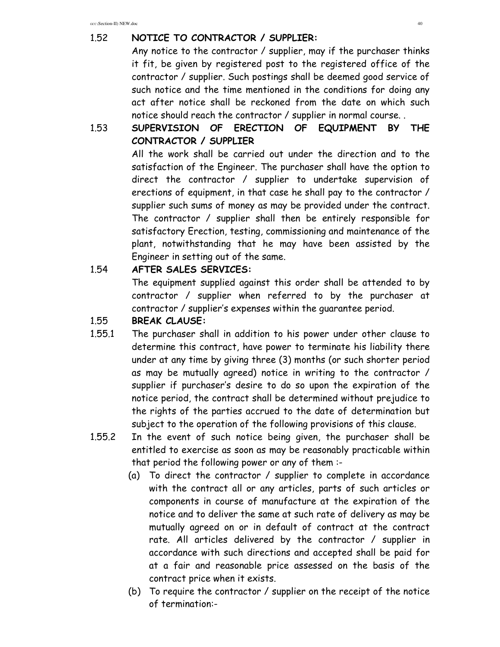#### 1.52 **NOTICE TO CONTRACTOR / SUPPLIER:**

 Any notice to the contractor / supplier, may if the purchaser thinks it fit, be given by registered post to the registered office of the contractor / supplier. Such postings shall be deemed good service of such notice and the time mentioned in the conditions for doing any act after notice shall be reckoned from the date on which such notice should reach the contractor / supplier in normal course. .

# 1.53 **SUPERVISION OF ERECTION OF EQUIPMENT BY THE CONTRACTOR / SUPPLIER**

 All the work shall be carried out under the direction and to the satisfaction of the Engineer. The purchaser shall have the option to direct the contractor / supplier to undertake supervision of erections of equipment, in that case he shall pay to the contractor / supplier such sums of money as may be provided under the contract. The contractor / supplier shall then be entirely responsible for satisfactory Erection, testing, commissioning and maintenance of the plant, notwithstanding that he may have been assisted by the Engineer in setting out of the same.

#### 1.54 **AFTER SALES SERVICES:**

 The equipment supplied against this order shall be attended to by contractor / supplier when referred to by the purchaser at contractor / supplier's expenses within the guarantee period.

#### 1.55 **BREAK CLAUSE:**

- 1.55.1 The purchaser shall in addition to his power under other clause to determine this contract, have power to terminate his liability there under at any time by giving three (3) months (or such shorter period as may be mutually agreed) notice in writing to the contractor / supplier if purchaser's desire to do so upon the expiration of the notice period, the contract shall be determined without prejudice to the rights of the parties accrued to the date of determination but subject to the operation of the following provisions of this clause.
- 1.55.2 In the event of such notice being given, the purchaser shall be entitled to exercise as soon as may be reasonably practicable within that period the following power or any of them :-
	- (a) To direct the contractor / supplier to complete in accordance with the contract all or any articles, parts of such articles or components in course of manufacture at the expiration of the notice and to deliver the same at such rate of delivery as may be mutually agreed on or in default of contract at the contract rate. All articles delivered by the contractor / supplier in accordance with such directions and accepted shall be paid for at a fair and reasonable price assessed on the basis of the contract price when it exists.
	- (b) To require the contractor / supplier on the receipt of the notice of termination:-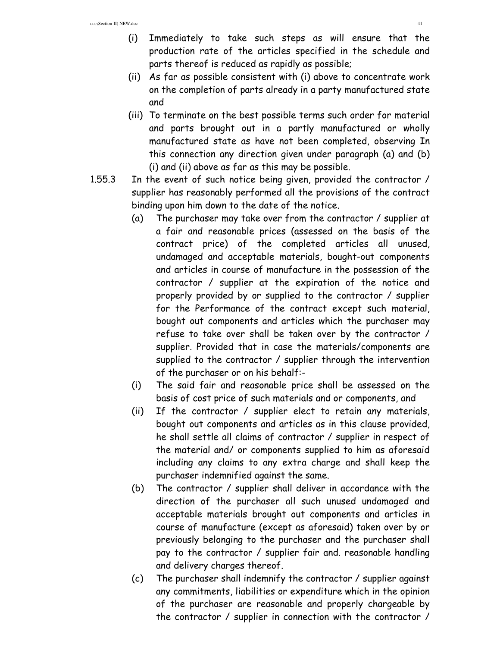- (i) Immediately to take such steps as will ensure that the production rate of the articles specified in the schedule and parts thereof is reduced as rapidly as possible;
- (ii) As far as possible consistent with (i) above to concentrate work on the completion of parts already in a party manufactured state and
- (iii) To terminate on the best possible terms such order for material and parts brought out in a partly manufactured or wholly manufactured state as have not been completed, observing In this connection any direction given under paragraph (a) and (b) (i) and (ii) above as far as this may be possible.
- 1.55.3 In the event of such notice being given, provided the contractor / supplier has reasonably performed all the provisions of the contract binding upon him down to the date of the notice.
	- (a) The purchaser may take over from the contractor / supplier at a fair and reasonable prices (assessed on the basis of the contract price) of the completed articles all unused, undamaged and acceptable materials, bought-out components and articles in course of manufacture in the possession of the contractor / supplier at the expiration of the notice and properly provided by or supplied to the contractor / supplier for the Performance of the contract except such material, bought out components and articles which the purchaser may refuse to take over shall be taken over by the contractor / supplier. Provided that in case the materials/components are supplied to the contractor / supplier through the intervention of the purchaser or on his behalf:-
	- (i) The said fair and reasonable price shall be assessed on the basis of cost price of such materials and or components, and
	- (ii) If the contractor / supplier elect to retain any materials, bought out components and articles as in this clause provided, he shall settle all claims of contractor / supplier in respect of the material and/ or components supplied to him as aforesaid including any claims to any extra charge and shall keep the purchaser indemnified against the same.
	- (b) The contractor / supplier shall deliver in accordance with the direction of the purchaser all such unused undamaged and acceptable materials brought out components and articles in course of manufacture (except as aforesaid) taken over by or previously belonging to the purchaser and the purchaser shall pay to the contractor / supplier fair and. reasonable handling and delivery charges thereof.
	- (c) The purchaser shall indemnify the contractor / supplier against any commitments, liabilities or expenditure which in the opinion of the purchaser are reasonable and properly chargeable by the contractor / supplier in connection with the contractor /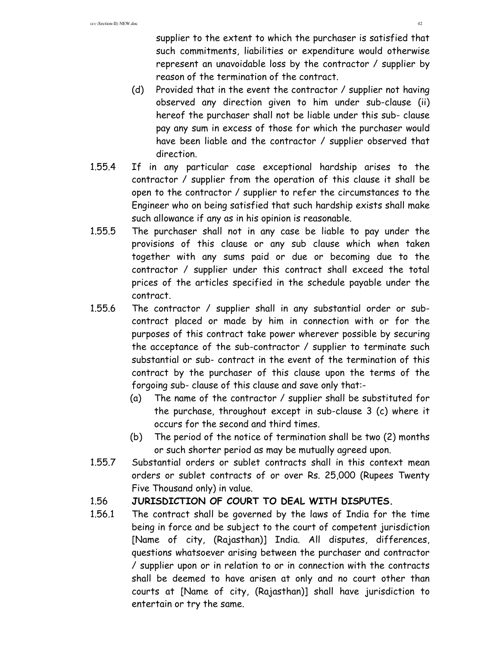supplier to the extent to which the purchaser is satisfied that such commitments, liabilities or expenditure would otherwise represent an unavoidable loss by the contractor / supplier by reason of the termination of the contract.

- (d) Provided that in the event the contractor / supplier not having observed any direction given to him under sub-clause (ii) hereof the purchaser shall not be liable under this sub- clause pay any sum in excess of those for which the purchaser would have been liable and the contractor / supplier observed that direction.
- 1.55.4 If in any particular case exceptional hardship arises to the contractor / supplier from the operation of this clause it shall be open to the contractor / supplier to refer the circumstances to the Engineer who on being satisfied that such hardship exists shall make such allowance if any as in his opinion is reasonable.
- 1.55.5 The purchaser shall not in any case be liable to pay under the provisions of this clause or any sub clause which when taken together with any sums paid or due or becoming due to the contractor / supplier under this contract shall exceed the total prices of the articles specified in the schedule payable under the contract.
- 1.55.6 The contractor / supplier shall in any substantial order or subcontract placed or made by him in connection with or for the purposes of this contract take power wherever possible by securing the acceptance of the sub-contractor / supplier to terminate such substantial or sub- contract in the event of the termination of this contract by the purchaser of this clause upon the terms of the forgoing sub- clause of this clause and save only that:-
	- (a) The name of the contractor / supplier shall be substituted for the purchase, throughout except in sub-clause 3 (c) where it occurs for the second and third times.
	- (b) The period of the notice of termination shall be two (2) months or such shorter period as may be mutually agreed upon.
- 1.55.7 Substantial orders or sublet contracts shall in this context mean orders or sublet contracts of or over Rs. 25,000 (Rupees Twenty Five Thousand only) in value.

#### 1.56 **JURISDICTION OF COURT TO DEAL WITH DISPUTES.**

1.56.1 The contract shall be governed by the laws of India for the time being in force and be subject to the court of competent jurisdiction [Name of city, (Rajasthan)] India. All disputes, differences, questions whatsoever arising between the purchaser and contractor / supplier upon or in relation to or in connection with the contracts shall be deemed to have arisen at only and no court other than courts at [Name of city, (Rajasthan)] shall have jurisdiction to entertain or try the same.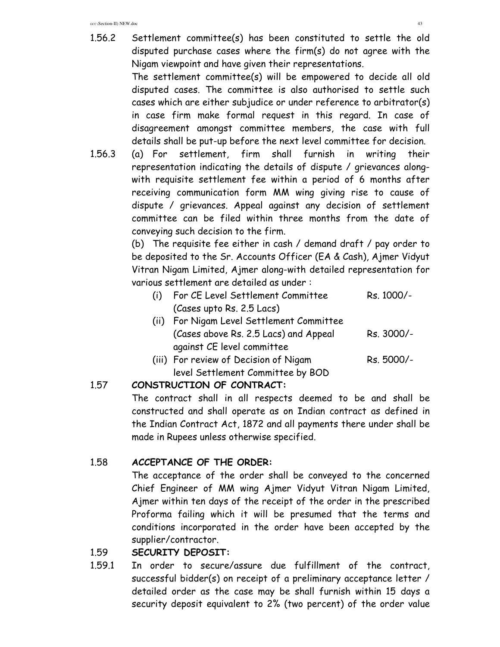1.56.2 Settlement committee(s) has been constituted to settle the old disputed purchase cases where the firm(s) do not agree with the Nigam viewpoint and have given their representations.

> The settlement committee(s) will be empowered to decide all old disputed cases. The committee is also authorised to settle such cases which are either subjudice or under reference to arbitrator(s) in case firm make formal request in this regard. In case of disagreement amongst committee members, the case with full details shall be put-up before the next level committee for decision.

1.56.3 (a) For settlement, firm shall furnish in writing their representation indicating the details of dispute / grievances alongwith requisite settlement fee within a period of 6 months after receiving communication form MM wing giving rise to cause of dispute / grievances. Appeal against any decision of settlement committee can be filed within three months from the date of conveying such decision to the firm.

> (b) The requisite fee either in cash / demand draft / pay order to be deposited to the Sr. Accounts Officer (EA & Cash), Ajmer Vidyut Vitran Nigam Limited, Ajmer along-with detailed representation for various settlement are detailed as under :

- (i) For CE Level Settlement Committee Rs. 1000/- (Cases upto Rs. 2.5 Lacs) (ii) For Nigam Level Settlement Committee
- (Cases above Rs. 2.5 Lacs) and Appeal Rs. 3000/against CE level committee
- (iii) For review of Decision of Nigam Rs. 5000/level Settlement Committee by BOD

# 1.57 **CONSTRUCTION OF CONTRACT:**

 The contract shall in all respects deemed to be and shall be constructed and shall operate as on Indian contract as defined in the Indian Contract Act, 1872 and all payments there under shall be made in Rupees unless otherwise specified.

# 1.58 **ACCEPTANCE OF THE ORDER:**

 The acceptance of the order shall be conveyed to the concerned Chief Engineer of MM wing Ajmer Vidyut Vitran Nigam Limited, Ajmer within ten days of the receipt of the order in the prescribed Proforma failing which it will be presumed that the terms and conditions incorporated in the order have been accepted by the supplier/contractor.

# 1.59 **SECURITY DEPOSIT:**

1.59.1 In order to secure/assure due fulfillment of the contract, successful bidder(s) on receipt of a preliminary acceptance letter / detailed order as the case may be shall furnish within 15 days a security deposit equivalent to 2% (two percent) of the order value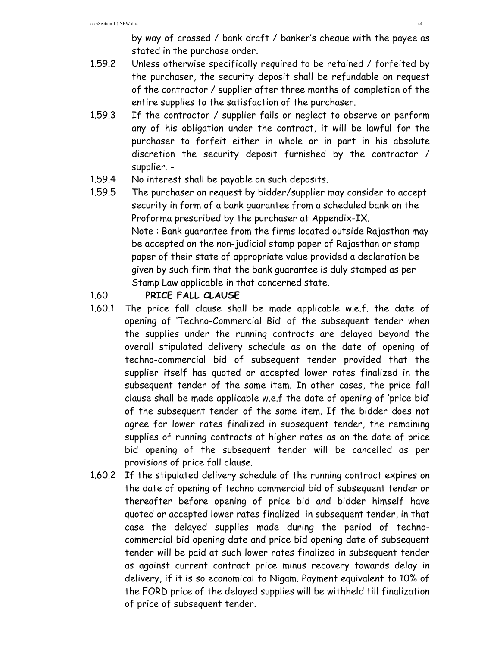by way of crossed / bank draft / banker's cheque with the payee as stated in the purchase order.

- 1.59.2 Unless otherwise specifically required to be retained / forfeited by the purchaser, the security deposit shall be refundable on request of the contractor / supplier after three months of completion of the entire supplies to the satisfaction of the purchaser.
- 1.59.3 If the contractor / supplier fails or neglect to observe or perform any of his obligation under the contract, it will be lawful for the purchaser to forfeit either in whole or in part in his absolute discretion the security deposit furnished by the contractor / supplier. -
- 1.59.4 No interest shall be payable on such deposits.
- 1.59.5 The purchaser on request by bidder/supplier may consider to accept security in form of a bank guarantee from a scheduled bank on the Proforma prescribed by the purchaser at Appendix-IX. Note : Bank guarantee from the firms located outside Rajasthan may be accepted on the non-judicial stamp paper of Rajasthan or stamp paper of their state of appropriate value provided a declaration be given by such firm that the bank guarantee is duly stamped as per Stamp Law applicable in that concerned state.

#### 1.60 **PRICE FALL CLAUSE**

- 1.60.1 The price fall clause shall be made applicable w.e.f. the date of opening of 'Techno-Commercial Bid' of the subsequent tender when the supplies under the running contracts are delayed beyond the overall stipulated delivery schedule as on the date of opening of techno-commercial bid of subsequent tender provided that the supplier itself has quoted or accepted lower rates finalized in the subsequent tender of the same item. In other cases, the price fall clause shall be made applicable w.e.f the date of opening of 'price bid' of the subsequent tender of the same item. If the bidder does not agree for lower rates finalized in subsequent tender, the remaining supplies of running contracts at higher rates as on the date of price bid opening of the subsequent tender will be cancelled as per provisions of price fall clause.
- 1.60.2 If the stipulated delivery schedule of the running contract expires on the date of opening of techno commercial bid of subsequent tender or thereafter before opening of price bid and bidder himself have quoted or accepted lower rates finalized in subsequent tender, in that case the delayed supplies made during the period of technocommercial bid opening date and price bid opening date of subsequent tender will be paid at such lower rates finalized in subsequent tender as against current contract price minus recovery towards delay in delivery, if it is so economical to Nigam. Payment equivalent to 10% of the FORD price of the delayed supplies will be withheld till finalization of price of subsequent tender.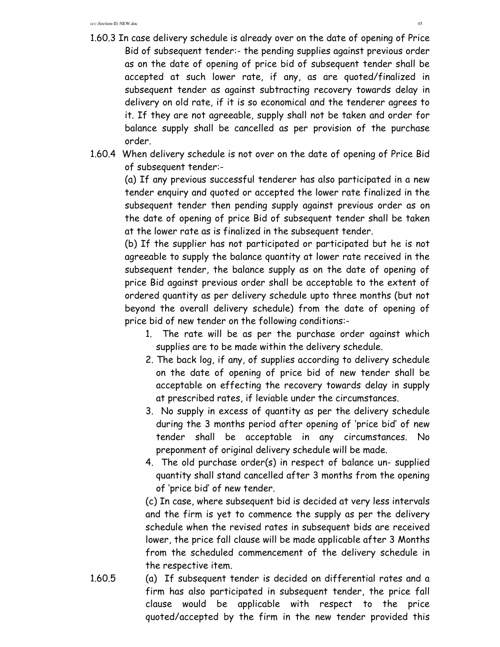- 1.60.3 In case delivery schedule is already over on the date of opening of Price Bid of subsequent tender:- the pending supplies against previous order as on the date of opening of price bid of subsequent tender shall be accepted at such lower rate, if any, as are quoted/finalized in subsequent tender as against subtracting recovery towards delay in delivery on old rate, if it is so economical and the tenderer agrees to it. If they are not agreeable, supply shall not be taken and order for balance supply shall be cancelled as per provision of the purchase order.
- 1.60.4 When delivery schedule is not over on the date of opening of Price Bid of subsequent tender:-

(a) If any previous successful tenderer has also participated in a new tender enquiry and quoted or accepted the lower rate finalized in the subsequent tender then pending supply against previous order as on the date of opening of price Bid of subsequent tender shall be taken at the lower rate as is finalized in the subsequent tender.

(b) If the supplier has not participated or participated but he is not agreeable to supply the balance quantity at lower rate received in the subsequent tender, the balance supply as on the date of opening of price Bid against previous order shall be acceptable to the extent of ordered quantity as per delivery schedule upto three months (but not beyond the overall delivery schedule) from the date of opening of price bid of new tender on the following conditions:-

- 1. The rate will be as per the purchase order against which supplies are to be made within the delivery schedule.
- 2. The back log, if any, of supplies according to delivery schedule on the date of opening of price bid of new tender shall be acceptable on effecting the recovery towards delay in supply at prescribed rates, if leviable under the circumstances.
- 3. No supply in excess of quantity as per the delivery schedule during the 3 months period after opening of 'price bid' of new tender shall be acceptable in any circumstances. No preponment of original delivery schedule will be made.
- 4. The old purchase order(s) in respect of balance un- supplied quantity shall stand cancelled after 3 months from the opening of 'price bid' of new tender.

(c) In case, where subsequent bid is decided at very less intervals and the firm is yet to commence the supply as per the delivery schedule when the revised rates in subsequent bids are received lower, the price fall clause will be made applicable after 3 Months from the scheduled commencement of the delivery schedule in the respective item.

1.60.5 (a) If subsequent tender is decided on differential rates and a firm has also participated in subsequent tender, the price fall clause would be applicable with respect to the price quoted/accepted by the firm in the new tender provided this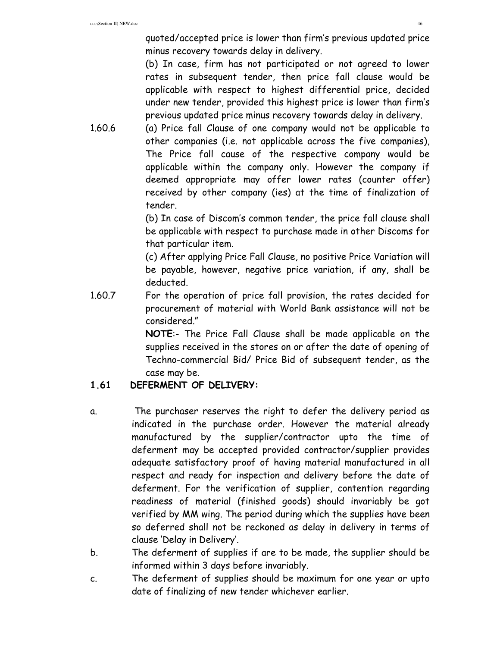quoted/accepted price is lower than firm's previous updated price minus recovery towards delay in delivery.

(b) In case, firm has not participated or not agreed to lower rates in subsequent tender, then price fall clause would be applicable with respect to highest differential price, decided under new tender, provided this highest price is lower than firm's previous updated price minus recovery towards delay in delivery.

1.60.6 (a) Price fall Clause of one company would not be applicable to other companies (i.e. not applicable across the five companies), The Price fall cause of the respective company would be applicable within the company only. However the company if deemed appropriate may offer lower rates (counter offer) received by other company (ies) at the time of finalization of tender.

> (b) In case of Discom's common tender, the price fall clause shall be applicable with respect to purchase made in other Discoms for that particular item.

> (c) After applying Price Fall Clause, no positive Price Variation will be payable, however, negative price variation, if any, shall be deducted.

1.60.7 For the operation of price fall provision, the rates decided for procurement of material with World Bank assistance will not be considered."

> **NOTE**:- The Price Fall Clause shall be made applicable on the supplies received in the stores on or after the date of opening of Techno-commercial Bid/ Price Bid of subsequent tender, as the case may be.

# **1.61 DEFERMENT OF DELIVERY:**

- a. The purchaser reserves the right to defer the delivery period as indicated in the purchase order. However the material already manufactured by the supplier/contractor upto the time of deferment may be accepted provided contractor/supplier provides adequate satisfactory proof of having material manufactured in all respect and ready for inspection and delivery before the date of deferment. For the verification of supplier, contention regarding readiness of material (finished goods) should invariably be got verified by MM wing. The period during which the supplies have been so deferred shall not be reckoned as delay in delivery in terms of clause 'Delay in Delivery'.
- b. The deferment of supplies if are to be made, the supplier should be informed within 3 days before invariably.
- c. The deferment of supplies should be maximum for one year or upto date of finalizing of new tender whichever earlier.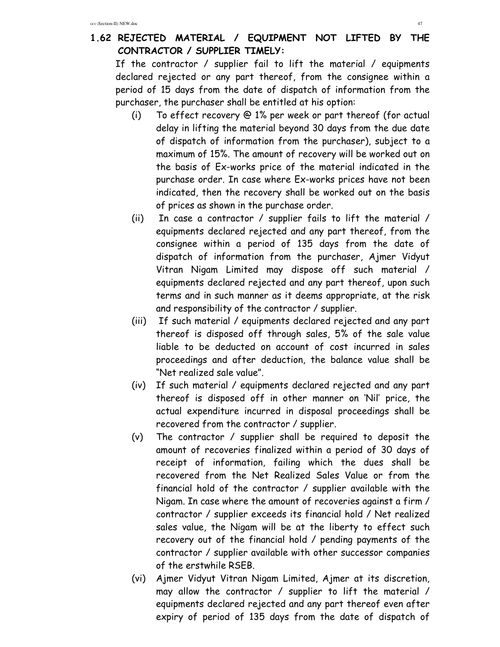#### **1.62 REJECTED MATERIAL / EQUIPMENT NOT LIFTED BY THE CONTRACTOR / SUPPLIER TIMELY:**

If the contractor / supplier fail to lift the material / equipments declared rejected or any part thereof, from the consignee within a period of 15 days from the date of dispatch of information from the purchaser, the purchaser shall be entitled at his option:

- (i) To effect recovery @ 1% per week or part thereof (for actual delay in lifting the material beyond 30 days from the due date of dispatch of information from the purchaser), subject to a maximum of 15%. The amount of recovery will be worked out on the basis of Ex-works price of the material indicated in the purchase order. In case where Ex-works prices have not been indicated, then the recovery shall be worked out on the basis of prices as shown in the purchase order.
- (ii) In case a contractor / supplier fails to lift the material / equipments declared rejected and any part thereof, from the consignee within a period of 135 days from the date of dispatch of information from the purchaser, Ajmer Vidyut Vitran Nigam Limited may dispose off such material / equipments declared rejected and any part thereof, upon such terms and in such manner as it deems appropriate, at the risk and responsibility of the contractor / supplier.
- (iii) If such material / equipments declared rejected and any part thereof is disposed off through sales, 5% of the sale value liable to be deducted on account of cost incurred in sales proceedings and after deduction, the balance value shall be "Net realized sale value".
- (iv) If such material / equipments declared rejected and any part thereof is disposed off in other manner on 'Nil' price, the actual expenditure incurred in disposal proceedings shall be recovered from the contractor / supplier.
- (v) The contractor / supplier shall be required to deposit the amount of recoveries finalized within a period of 30 days of receipt of information, failing which the dues shall be recovered from the Net Realized Sales Value or from the financial hold of the contractor / supplier available with the Nigam. In case where the amount of recoveries against a firm / contractor / supplier exceeds its financial hold / Net realized sales value, the Nigam will be at the liberty to effect such recovery out of the financial hold / pending payments of the contractor / supplier available with other successor companies of the erstwhile RSEB.
- (vi) Ajmer Vidyut Vitran Nigam Limited, Ajmer at its discretion, may allow the contractor / supplier to lift the material / equipments declared rejected and any part thereof even after expiry of period of 135 days from the date of dispatch of